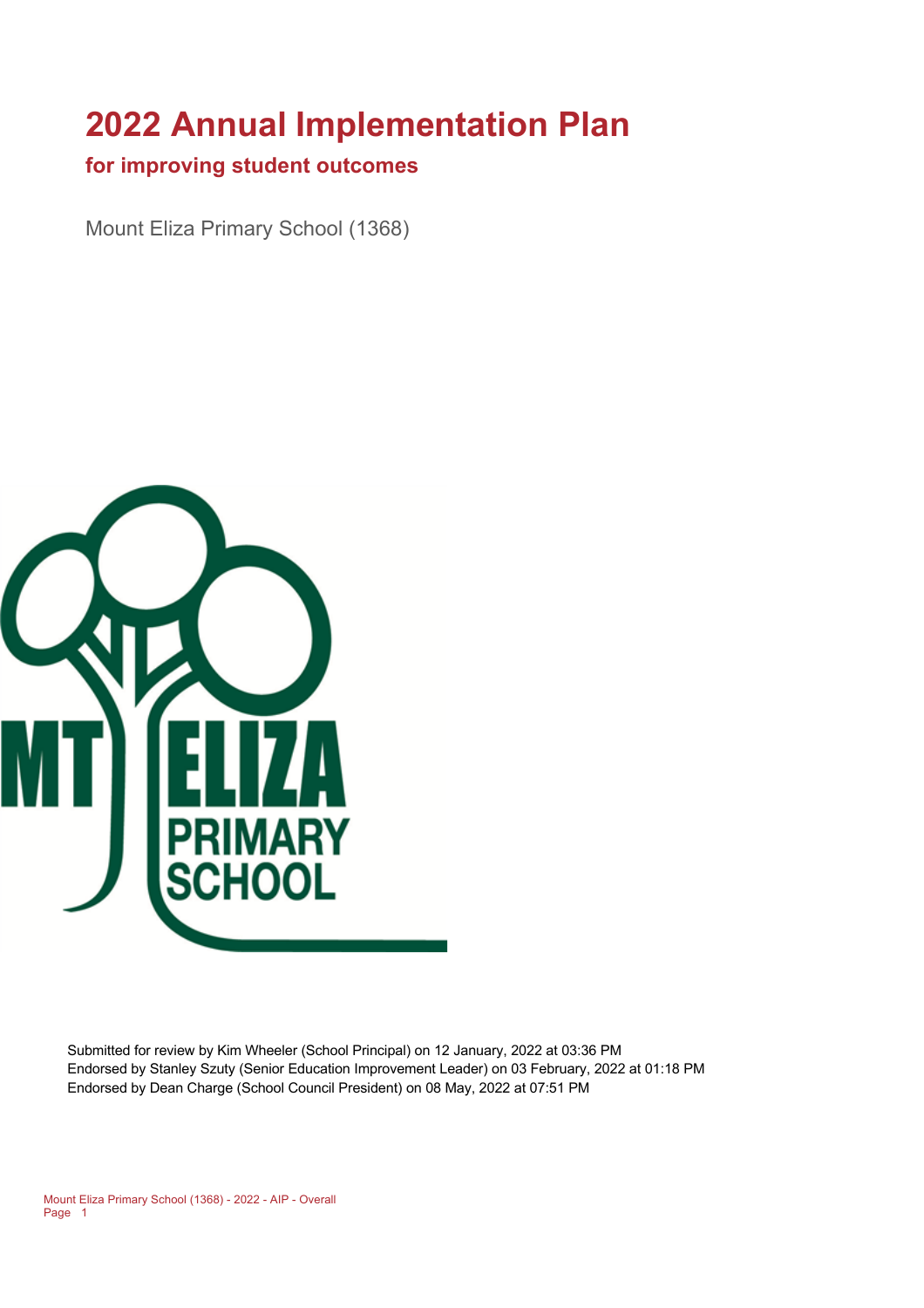# **2022 Annual Implementation Plan**

#### **for improving student outcomes**

Mount Eliza Primary School (1368)



Submitted for review by Kim Wheeler (School Principal) on 12 January, 2022 at 03:36 PM Endorsed by Stanley Szuty (Senior Education Improvement Leader) on 03 February, 2022 at 01:18 PM Endorsed by Dean Charge (School Council President) on 08 May, 2022 at 07:51 PM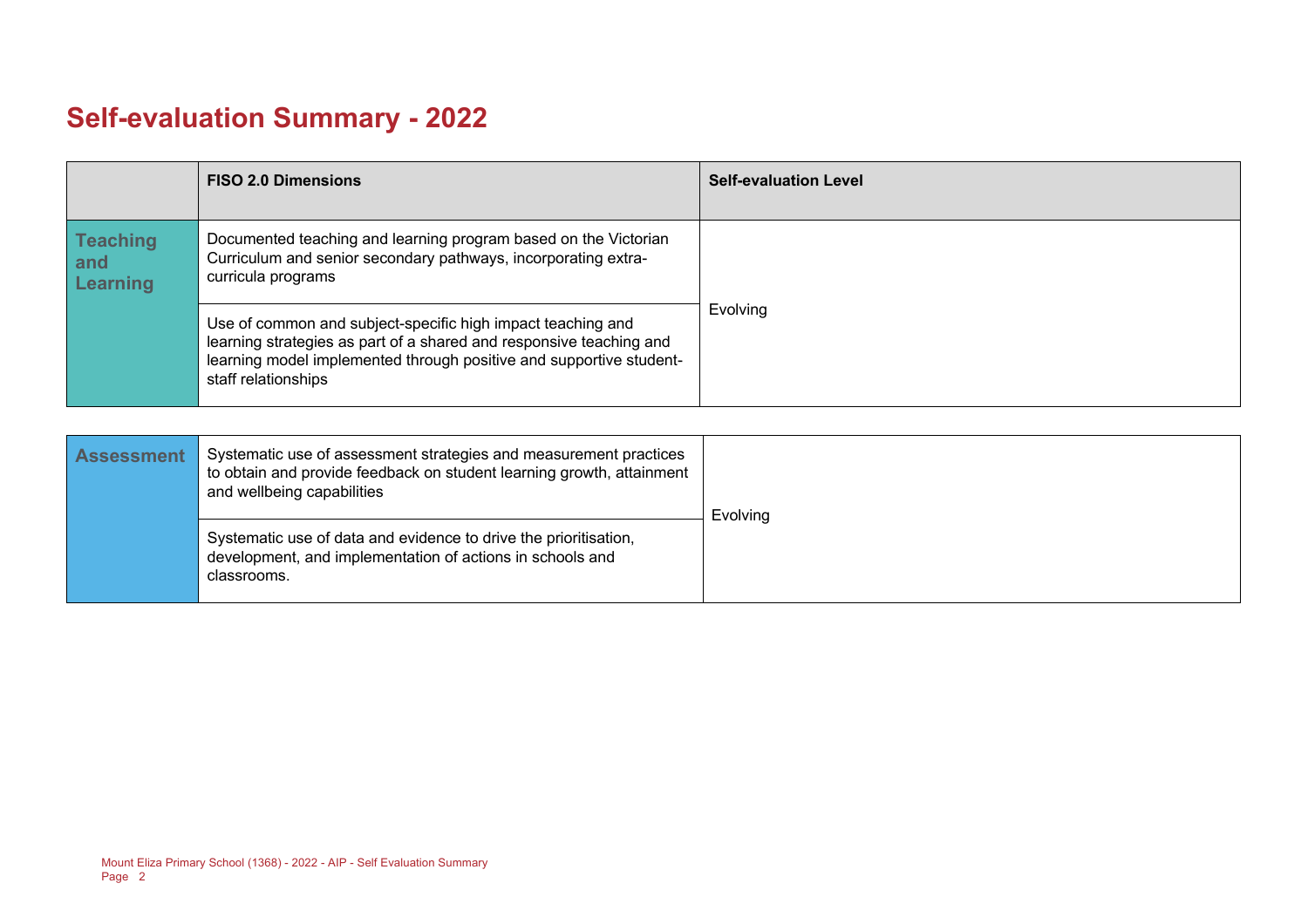# **Self-evaluation Summary - 2022**

|                                           | <b>FISO 2.0 Dimensions</b>                                                                                                                                                                                                       | <b>Self-evaluation Level</b> |
|-------------------------------------------|----------------------------------------------------------------------------------------------------------------------------------------------------------------------------------------------------------------------------------|------------------------------|
| <b>Teaching</b><br>and<br><b>Learning</b> | Documented teaching and learning program based on the Victorian<br>Curriculum and senior secondary pathways, incorporating extra-<br>curricula programs                                                                          |                              |
|                                           | Use of common and subject-specific high impact teaching and<br>learning strategies as part of a shared and responsive teaching and<br>learning model implemented through positive and supportive student-<br>staff relationships | Evolving                     |

| <b>Assessment</b> | Systematic use of assessment strategies and measurement practices<br>to obtain and provide feedback on student learning growth, attainment<br>and wellbeing capabilities | Evolving |
|-------------------|--------------------------------------------------------------------------------------------------------------------------------------------------------------------------|----------|
|                   | Systematic use of data and evidence to drive the prioritisation,<br>development, and implementation of actions in schools and<br>classrooms.                             |          |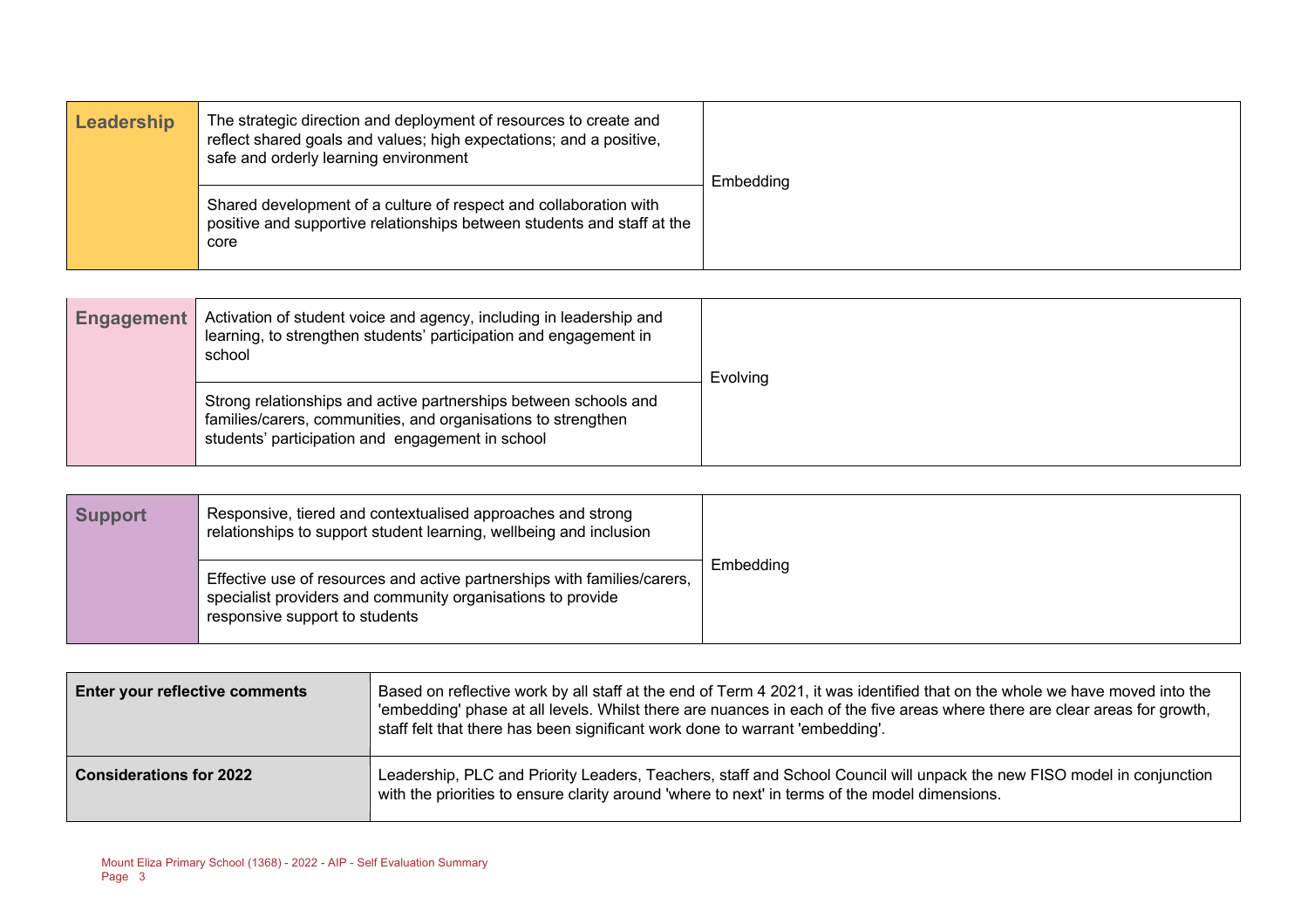| Leadership | The strategic direction and deployment of resources to create and<br>reflect shared goals and values; high expectations; and a positive,<br>safe and orderly learning environment | Embedding |
|------------|-----------------------------------------------------------------------------------------------------------------------------------------------------------------------------------|-----------|
|            | Shared development of a culture of respect and collaboration with<br>positive and supportive relationships between students and staff at the<br>core                              |           |

| <b>Engagement</b> | Activation of student voice and agency, including in leadership and<br>learning, to strengthen students' participation and engagement in<br>school                                    | Evolving |
|-------------------|---------------------------------------------------------------------------------------------------------------------------------------------------------------------------------------|----------|
|                   | Strong relationships and active partnerships between schools and<br>families/carers, communities, and organisations to strengthen<br>students' participation and engagement in school |          |

| <b>Support</b> | Responsive, tiered and contextualised approaches and strong<br>relationships to support student learning, wellbeing and inclusion                                         |           |
|----------------|---------------------------------------------------------------------------------------------------------------------------------------------------------------------------|-----------|
|                | Effective use of resources and active partnerships with families/carers,<br>specialist providers and community organisations to provide<br>responsive support to students | Embedding |

| <b>Enter your reflective comments</b> | Based on reflective work by all staff at the end of Term 4 2021, it was identified that on the whole we have moved into the<br>'embedding' phase at all levels. Whilst there are nuances in each of the five areas where there are clear areas for growth,<br>staff felt that there has been significant work done to warrant 'embedding'. |  |  |
|---------------------------------------|--------------------------------------------------------------------------------------------------------------------------------------------------------------------------------------------------------------------------------------------------------------------------------------------------------------------------------------------|--|--|
| <b>Considerations for 2022</b>        | Leadership, PLC and Priority Leaders, Teachers, staff and School Council will unpack the new FISO model in conjunction<br>with the priorities to ensure clarity around 'where to next' in terms of the model dimensions.                                                                                                                   |  |  |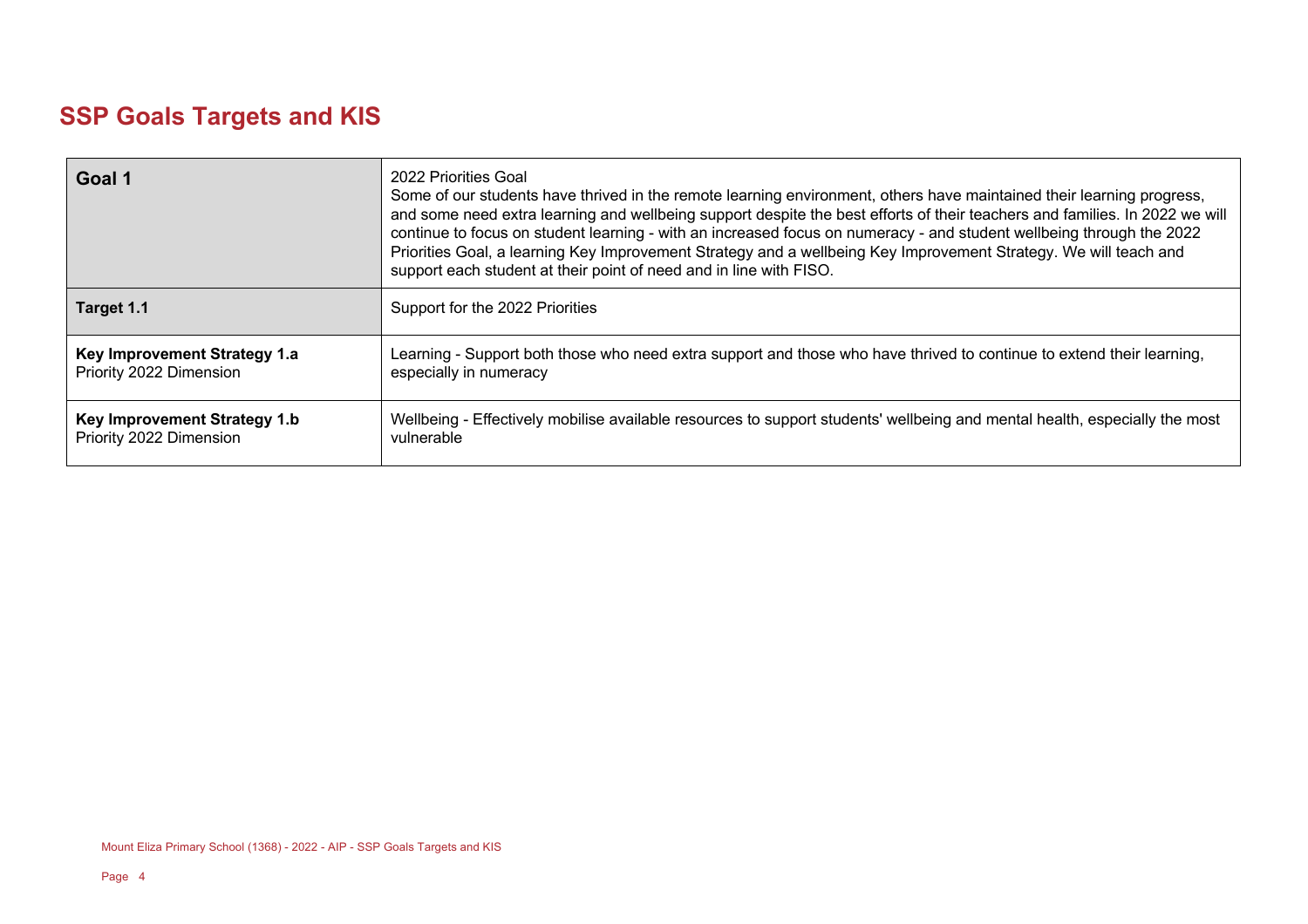### **SSP Goals Targets and KIS**

| Goal 1                       | 2022 Priorities Goal<br>Some of our students have thrived in the remote learning environment, others have maintained their learning progress,<br>and some need extra learning and wellbeing support despite the best efforts of their teachers and families. In 2022 we will<br>continue to focus on student learning - with an increased focus on numeracy - and student wellbeing through the 2022<br>Priorities Goal, a learning Key Improvement Strategy and a wellbeing Key Improvement Strategy. We will teach and<br>support each student at their point of need and in line with FISO. |
|------------------------------|------------------------------------------------------------------------------------------------------------------------------------------------------------------------------------------------------------------------------------------------------------------------------------------------------------------------------------------------------------------------------------------------------------------------------------------------------------------------------------------------------------------------------------------------------------------------------------------------|
| Target 1.1                   | Support for the 2022 Priorities                                                                                                                                                                                                                                                                                                                                                                                                                                                                                                                                                                |
| Key Improvement Strategy 1.a | Learning - Support both those who need extra support and those who have thrived to continue to extend their learning,                                                                                                                                                                                                                                                                                                                                                                                                                                                                          |
| Priority 2022 Dimension      | especially in numeracy                                                                                                                                                                                                                                                                                                                                                                                                                                                                                                                                                                         |
| Key Improvement Strategy 1.b | Wellbeing - Effectively mobilise available resources to support students' wellbeing and mental health, especially the most                                                                                                                                                                                                                                                                                                                                                                                                                                                                     |
| Priority 2022 Dimension      | vulnerable                                                                                                                                                                                                                                                                                                                                                                                                                                                                                                                                                                                     |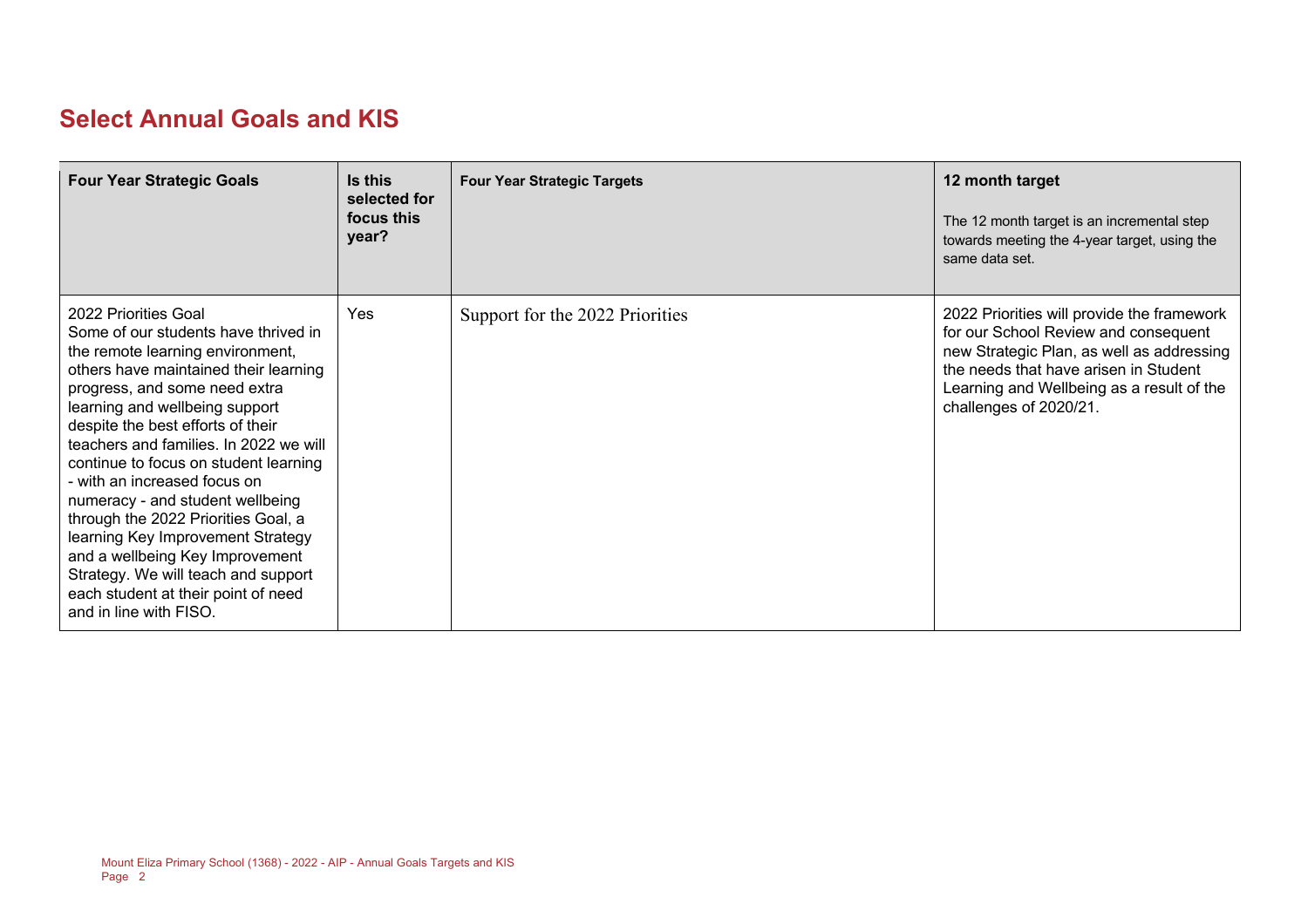#### **Select Annual Goals and KIS**

| <b>Four Year Strategic Goals</b>                                                                                                                                                                                                                                                                                                                                                                                                                                                                                                                                                                                                | Is this<br>selected for<br>focus this<br>year? | <b>Four Year Strategic Targets</b> | 12 month target<br>The 12 month target is an incremental step<br>towards meeting the 4-year target, using the<br>same data set.                                                                                                                 |
|---------------------------------------------------------------------------------------------------------------------------------------------------------------------------------------------------------------------------------------------------------------------------------------------------------------------------------------------------------------------------------------------------------------------------------------------------------------------------------------------------------------------------------------------------------------------------------------------------------------------------------|------------------------------------------------|------------------------------------|-------------------------------------------------------------------------------------------------------------------------------------------------------------------------------------------------------------------------------------------------|
| 2022 Priorities Goal<br>Some of our students have thrived in<br>the remote learning environment,<br>others have maintained their learning<br>progress, and some need extra<br>learning and wellbeing support<br>despite the best efforts of their<br>teachers and families. In 2022 we will<br>continue to focus on student learning<br>- with an increased focus on<br>numeracy - and student wellbeing<br>through the 2022 Priorities Goal, a<br>learning Key Improvement Strategy<br>and a wellbeing Key Improvement<br>Strategy. We will teach and support<br>each student at their point of need<br>and in line with FISO. | Yes                                            | Support for the 2022 Priorities    | 2022 Priorities will provide the framework<br>for our School Review and consequent<br>new Strategic Plan, as well as addressing<br>the needs that have arisen in Student<br>Learning and Wellbeing as a result of the<br>challenges of 2020/21. |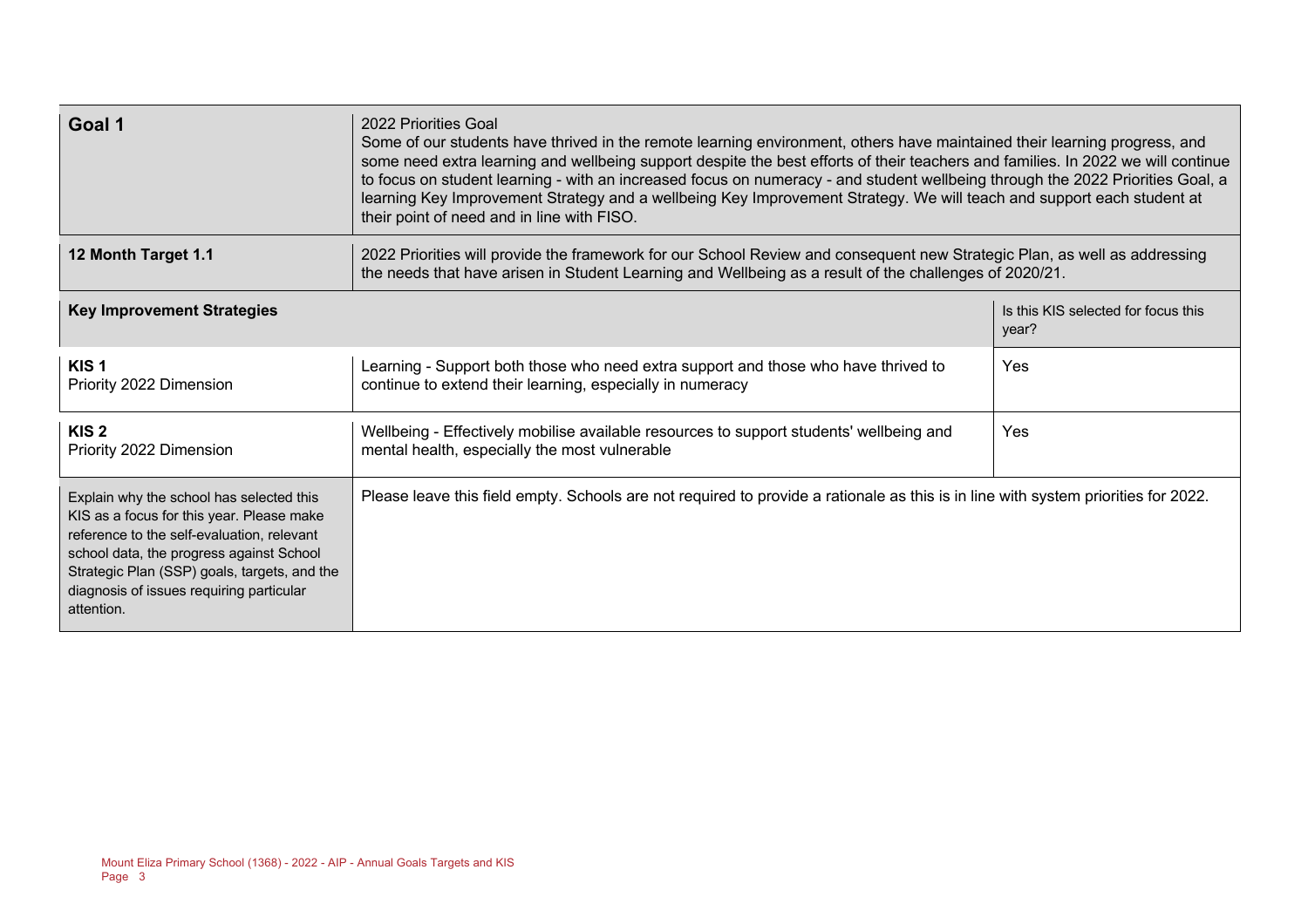| Goal 1                                                                                                                                                                                                                                                                                    | 2022 Priorities Goal<br>Some of our students have thrived in the remote learning environment, others have maintained their learning progress, and<br>some need extra learning and wellbeing support despite the best efforts of their teachers and families. In 2022 we will continue<br>to focus on student learning - with an increased focus on numeracy - and student wellbeing through the 2022 Priorities Goal, a<br>learning Key Improvement Strategy and a wellbeing Key Improvement Strategy. We will teach and support each student at<br>their point of need and in line with FISO. |                                              |  |  |
|-------------------------------------------------------------------------------------------------------------------------------------------------------------------------------------------------------------------------------------------------------------------------------------------|------------------------------------------------------------------------------------------------------------------------------------------------------------------------------------------------------------------------------------------------------------------------------------------------------------------------------------------------------------------------------------------------------------------------------------------------------------------------------------------------------------------------------------------------------------------------------------------------|----------------------------------------------|--|--|
| 12 Month Target 1.1                                                                                                                                                                                                                                                                       | 2022 Priorities will provide the framework for our School Review and consequent new Strategic Plan, as well as addressing<br>the needs that have arisen in Student Learning and Wellbeing as a result of the challenges of 2020/21.                                                                                                                                                                                                                                                                                                                                                            |                                              |  |  |
| <b>Key Improvement Strategies</b>                                                                                                                                                                                                                                                         |                                                                                                                                                                                                                                                                                                                                                                                                                                                                                                                                                                                                | Is this KIS selected for focus this<br>year? |  |  |
| KIS <sub>1</sub><br>Priority 2022 Dimension                                                                                                                                                                                                                                               | Learning - Support both those who need extra support and those who have thrived to<br>continue to extend their learning, especially in numeracy                                                                                                                                                                                                                                                                                                                                                                                                                                                | Yes                                          |  |  |
| KIS <sub>2</sub><br>Priority 2022 Dimension                                                                                                                                                                                                                                               | Wellbeing - Effectively mobilise available resources to support students' wellbeing and<br>mental health, especially the most vulnerable                                                                                                                                                                                                                                                                                                                                                                                                                                                       | Yes                                          |  |  |
| Explain why the school has selected this<br>KIS as a focus for this year. Please make<br>reference to the self-evaluation, relevant<br>school data, the progress against School<br>Strategic Plan (SSP) goals, targets, and the<br>diagnosis of issues requiring particular<br>attention. | Please leave this field empty. Schools are not required to provide a rationale as this is in line with system priorities for 2022.                                                                                                                                                                                                                                                                                                                                                                                                                                                             |                                              |  |  |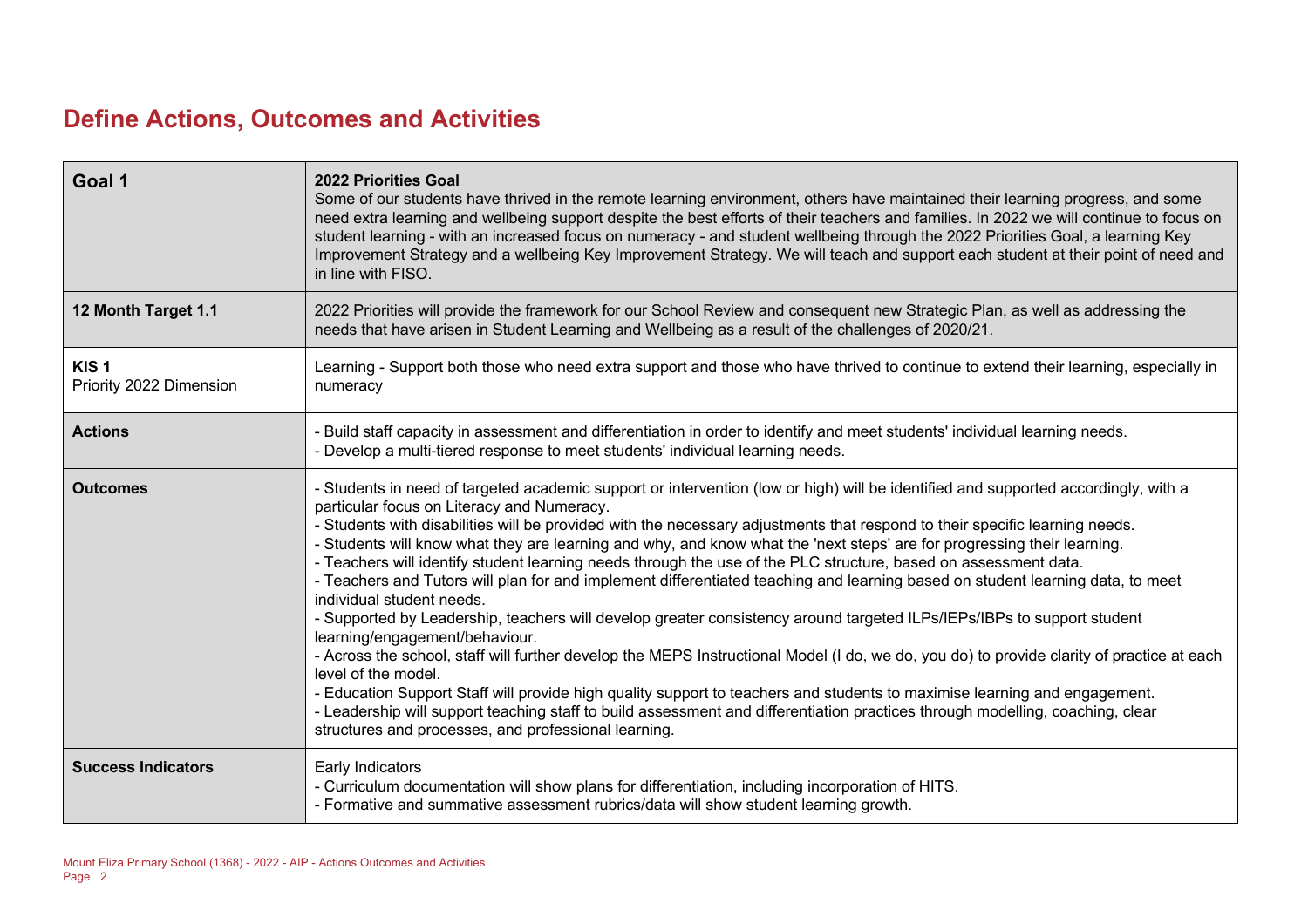#### **Define Actions, Outcomes and Activities**

| Goal 1                                      | <b>2022 Priorities Goal</b><br>Some of our students have thrived in the remote learning environment, others have maintained their learning progress, and some<br>need extra learning and wellbeing support despite the best efforts of their teachers and families. In 2022 we will continue to focus on<br>student learning - with an increased focus on numeracy - and student wellbeing through the 2022 Priorities Goal, a learning Key<br>Improvement Strategy and a wellbeing Key Improvement Strategy. We will teach and support each student at their point of need and<br>in line with FISO.                                                                                                                                                                                                                                                                                                                                                                                                                                                                                                                                                                                                                                                                                                                                                                            |
|---------------------------------------------|----------------------------------------------------------------------------------------------------------------------------------------------------------------------------------------------------------------------------------------------------------------------------------------------------------------------------------------------------------------------------------------------------------------------------------------------------------------------------------------------------------------------------------------------------------------------------------------------------------------------------------------------------------------------------------------------------------------------------------------------------------------------------------------------------------------------------------------------------------------------------------------------------------------------------------------------------------------------------------------------------------------------------------------------------------------------------------------------------------------------------------------------------------------------------------------------------------------------------------------------------------------------------------------------------------------------------------------------------------------------------------|
| 12 Month Target 1.1                         | 2022 Priorities will provide the framework for our School Review and consequent new Strategic Plan, as well as addressing the<br>needs that have arisen in Student Learning and Wellbeing as a result of the challenges of 2020/21.                                                                                                                                                                                                                                                                                                                                                                                                                                                                                                                                                                                                                                                                                                                                                                                                                                                                                                                                                                                                                                                                                                                                              |
| KIS <sub>1</sub><br>Priority 2022 Dimension | Learning - Support both those who need extra support and those who have thrived to continue to extend their learning, especially in<br>numeracy                                                                                                                                                                                                                                                                                                                                                                                                                                                                                                                                                                                                                                                                                                                                                                                                                                                                                                                                                                                                                                                                                                                                                                                                                                  |
| <b>Actions</b>                              | Build staff capacity in assessment and differentiation in order to identify and meet students' individual learning needs.<br>Develop a multi-tiered response to meet students' individual learning needs.                                                                                                                                                                                                                                                                                                                                                                                                                                                                                                                                                                                                                                                                                                                                                                                                                                                                                                                                                                                                                                                                                                                                                                        |
| <b>Outcomes</b>                             | - Students in need of targeted academic support or intervention (low or high) will be identified and supported accordingly, with a<br>particular focus on Literacy and Numeracy.<br>Students with disabilities will be provided with the necessary adjustments that respond to their specific learning needs.<br>- Students will know what they are learning and why, and know what the 'next steps' are for progressing their learning.<br>- Teachers will identify student learning needs through the use of the PLC structure, based on assessment data.<br>- Teachers and Tutors will plan for and implement differentiated teaching and learning based on student learning data, to meet<br>individual student needs.<br>- Supported by Leadership, teachers will develop greater consistency around targeted ILPs/IEPs/IBPs to support student<br>learning/engagement/behaviour.<br>- Across the school, staff will further develop the MEPS Instructional Model (I do, we do, you do) to provide clarity of practice at each<br>level of the model.<br>- Education Support Staff will provide high quality support to teachers and students to maximise learning and engagement.<br>- Leadership will support teaching staff to build assessment and differentiation practices through modelling, coaching, clear<br>structures and processes, and professional learning. |
| <b>Success Indicators</b>                   | Early Indicators<br>- Curriculum documentation will show plans for differentiation, including incorporation of HITS.<br>- Formative and summative assessment rubrics/data will show student learning growth.                                                                                                                                                                                                                                                                                                                                                                                                                                                                                                                                                                                                                                                                                                                                                                                                                                                                                                                                                                                                                                                                                                                                                                     |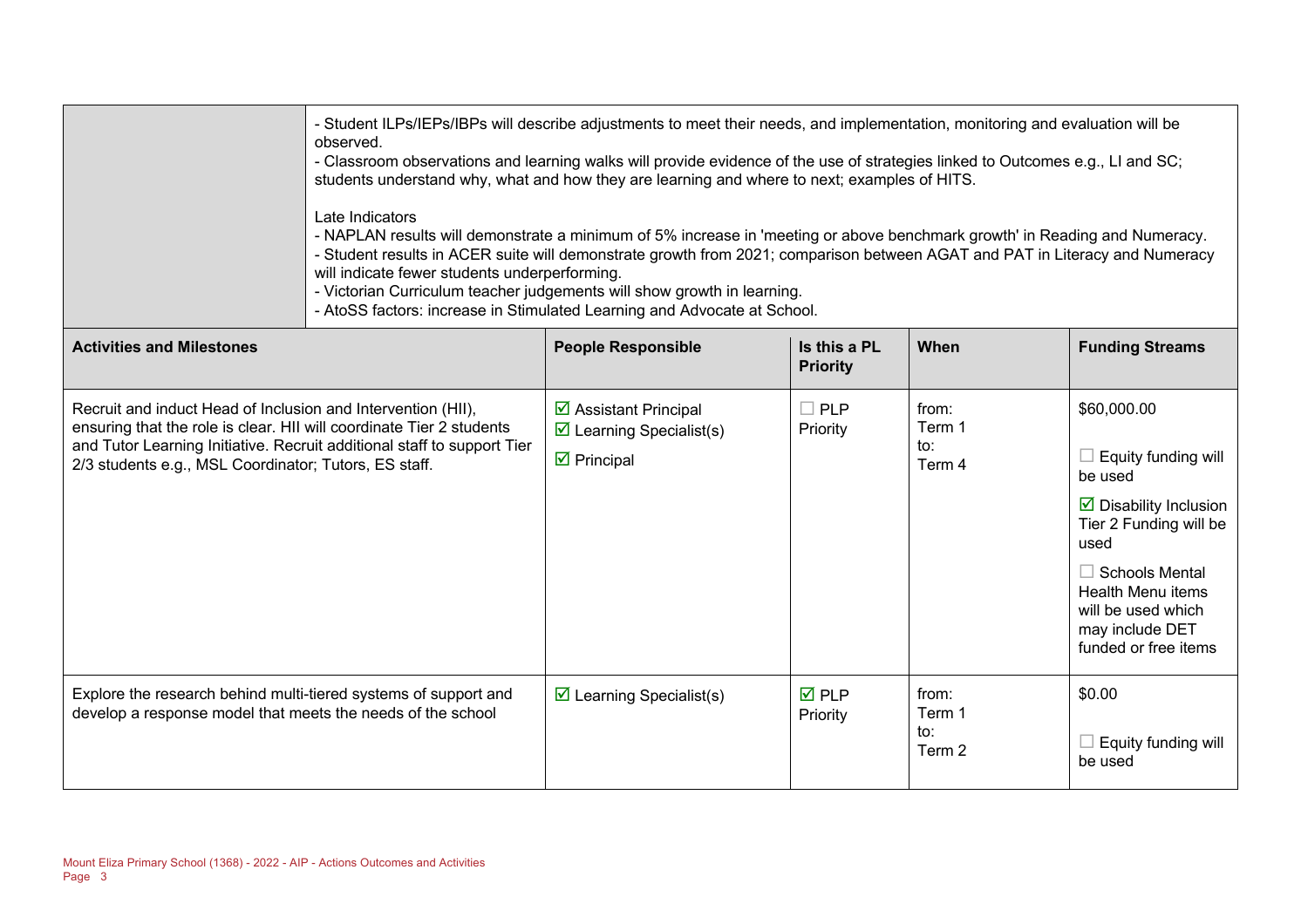|                                                                                                                                                                                                                                                                          | - Student ILPs/IEPs/IBPs will describe adjustments to meet their needs, and implementation, monitoring and evaluation will be<br>observed.<br>- Classroom observations and learning walks will provide evidence of the use of strategies linked to Outcomes e.g., LI and SC;<br>students understand why, what and how they are learning and where to next; examples of HITS.<br>Late Indicators<br>- NAPLAN results will demonstrate a minimum of 5% increase in 'meeting or above benchmark growth' in Reading and Numeracy.<br>- Student results in ACER suite will demonstrate growth from 2021; comparison between AGAT and PAT in Literacy and Numeracy<br>will indicate fewer students underperforming.<br>- Victorian Curriculum teacher judgements will show growth in learning.<br>- AtoSS factors: increase in Stimulated Learning and Advocate at School. |                                                                                                               |                                 |                                  |                                                                                                                                                                                                                                         |
|--------------------------------------------------------------------------------------------------------------------------------------------------------------------------------------------------------------------------------------------------------------------------|----------------------------------------------------------------------------------------------------------------------------------------------------------------------------------------------------------------------------------------------------------------------------------------------------------------------------------------------------------------------------------------------------------------------------------------------------------------------------------------------------------------------------------------------------------------------------------------------------------------------------------------------------------------------------------------------------------------------------------------------------------------------------------------------------------------------------------------------------------------------|---------------------------------------------------------------------------------------------------------------|---------------------------------|----------------------------------|-----------------------------------------------------------------------------------------------------------------------------------------------------------------------------------------------------------------------------------------|
| <b>Activities and Milestones</b>                                                                                                                                                                                                                                         |                                                                                                                                                                                                                                                                                                                                                                                                                                                                                                                                                                                                                                                                                                                                                                                                                                                                      | <b>People Responsible</b>                                                                                     | Is this a PL<br><b>Priority</b> | When                             | <b>Funding Streams</b>                                                                                                                                                                                                                  |
| Recruit and induct Head of Inclusion and Intervention (HII),<br>ensuring that the role is clear. HII will coordinate Tier 2 students<br>and Tutor Learning Initiative. Recruit additional staff to support Tier<br>2/3 students e.g., MSL Coordinator; Tutors, ES staff. |                                                                                                                                                                                                                                                                                                                                                                                                                                                                                                                                                                                                                                                                                                                                                                                                                                                                      | $\triangleright$ Assistant Principal<br>$\triangleright$ Learning Specialist(s)<br>$\triangleright$ Principal | $\Box$ PLP<br>Priority          | from:<br>Term 1<br>to:<br>Term 4 | \$60,000.00<br>Equity funding will<br>be used<br>$\triangleright$ Disability Inclusion<br>Tier 2 Funding will be<br>used<br>$\Box$ Schools Mental<br>Health Menu items<br>will be used which<br>may include DET<br>funded or free items |
| Explore the research behind multi-tiered systems of support and<br>develop a response model that meets the needs of the school                                                                                                                                           |                                                                                                                                                                                                                                                                                                                                                                                                                                                                                                                                                                                                                                                                                                                                                                                                                                                                      | $\triangleright$ Learning Specialist(s)                                                                       | $\overline{M}$ PLP<br>Priority  | from:<br>Term 1<br>to:<br>Term 2 | \$0.00<br>Equity funding will<br>be used                                                                                                                                                                                                |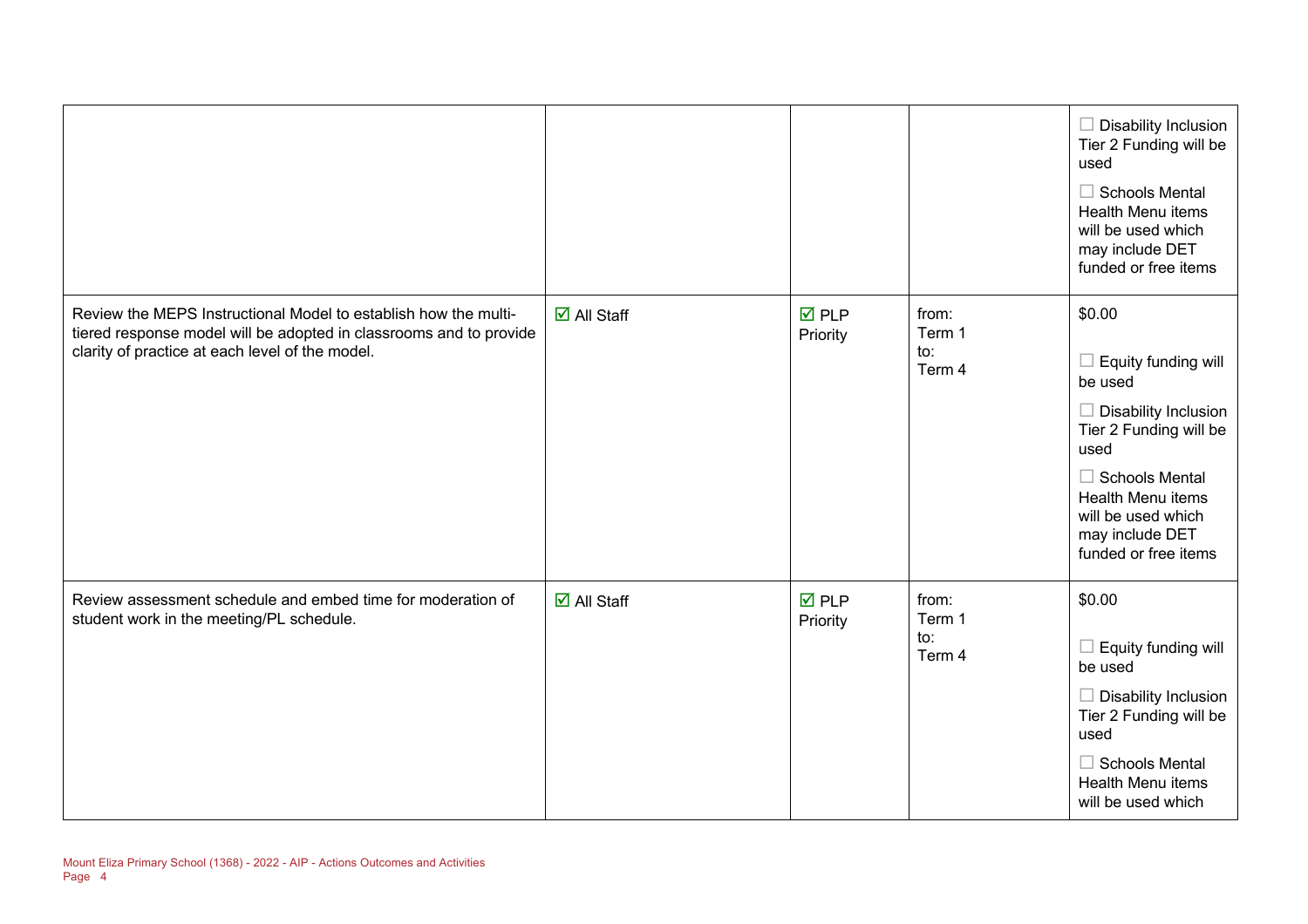|                                                                                                                                                                                          |                                   |                                |                                  | $\Box$ Disability Inclusion<br>Tier 2 Funding will be<br>used<br>$\Box$ Schools Mental<br>Health Menu items<br>will be used which<br>may include DET<br>funded or free items                                                    |
|------------------------------------------------------------------------------------------------------------------------------------------------------------------------------------------|-----------------------------------|--------------------------------|----------------------------------|---------------------------------------------------------------------------------------------------------------------------------------------------------------------------------------------------------------------------------|
| Review the MEPS Instructional Model to establish how the multi-<br>tiered response model will be adopted in classrooms and to provide<br>clarity of practice at each level of the model. | $\overline{\mathsf{M}}$ All Staff | $\overline{M}$ PLP<br>Priority | from:<br>Term 1<br>to:<br>Term 4 | \$0.00<br>$\Box$ Equity funding will<br>be used<br>$\Box$ Disability Inclusion<br>Tier 2 Funding will be<br>used<br>$\Box$ Schools Mental<br>Health Menu items<br>will be used which<br>may include DET<br>funded or free items |
| Review assessment schedule and embed time for moderation of<br>student work in the meeting/PL schedule.                                                                                  | $\overline{\mathsf{M}}$ All Staff | $\nabla$ PLP<br>Priority       | from:<br>Term 1<br>to:<br>Term 4 | \$0.00<br>$\Box$ Equity funding will<br>be used<br>$\Box$ Disability Inclusion<br>Tier 2 Funding will be<br>used<br>$\Box$ Schools Mental<br>Health Menu items<br>will be used which                                            |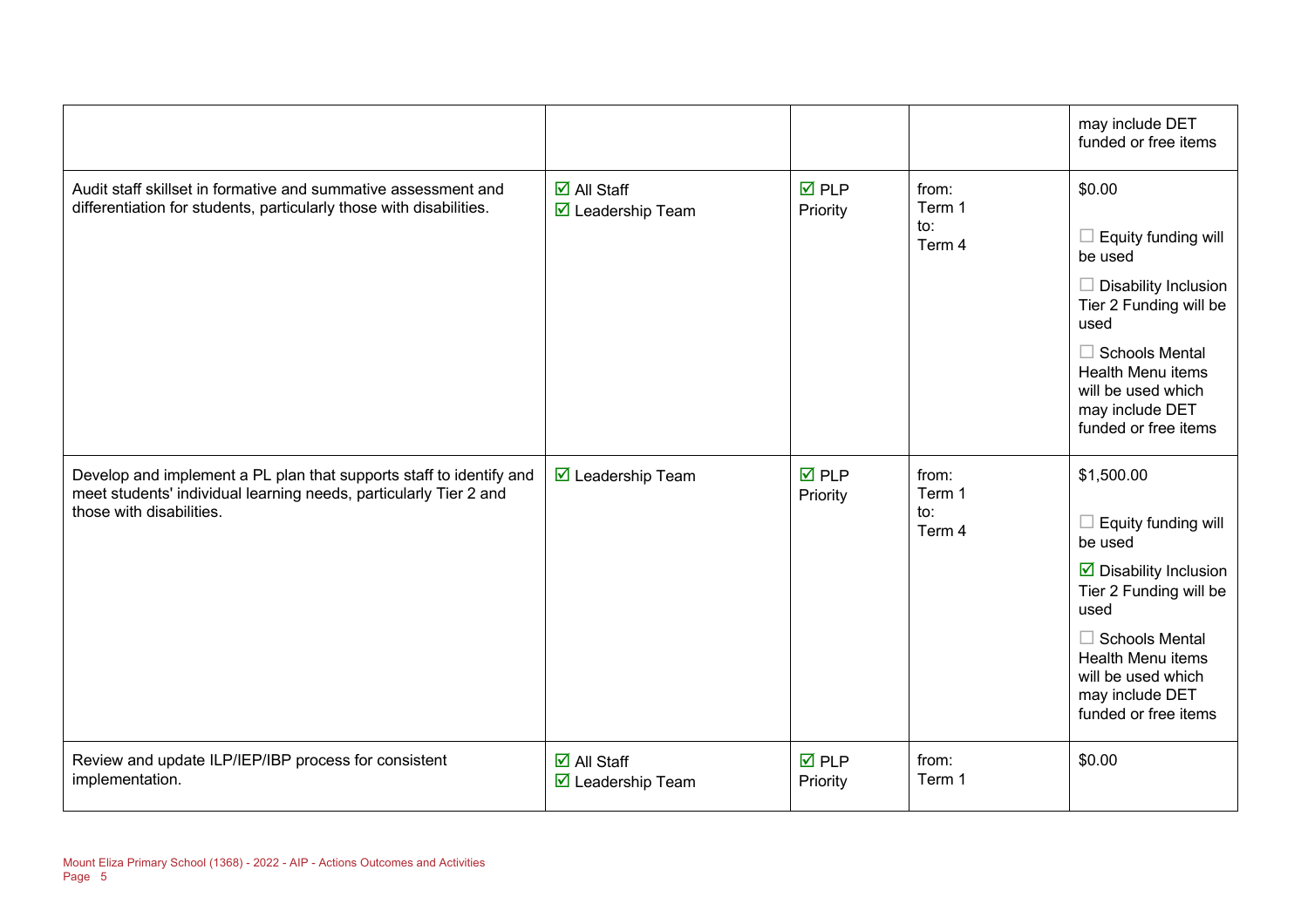|                                                                                                                                                                      |                                                                        |                                |                                  | may include DET<br>funded or free items                                                                                                                                                                                                              |
|----------------------------------------------------------------------------------------------------------------------------------------------------------------------|------------------------------------------------------------------------|--------------------------------|----------------------------------|------------------------------------------------------------------------------------------------------------------------------------------------------------------------------------------------------------------------------------------------------|
| Audit staff skillset in formative and summative assessment and<br>differentiation for students, particularly those with disabilities.                                | $\overline{\Box}$ All Staff<br>☑ Leadership Team                       | $\overline{M}$ PLP<br>Priority | from:<br>Term 1<br>to:<br>Term 4 | \$0.00<br>$\Box$ Equity funding will<br>be used<br>$\Box$ Disability Inclusion<br>Tier 2 Funding will be<br>used<br>$\Box$ Schools Mental<br><b>Health Menu items</b><br>will be used which<br>may include DET<br>funded or free items               |
| Develop and implement a PL plan that supports staff to identify and<br>meet students' individual learning needs, particularly Tier 2 and<br>those with disabilities. | $\overline{\mathbf{M}}$ Leadership Team                                | $\overline{M}$ PLP<br>Priority | from:<br>Term 1<br>to:<br>Term 4 | \$1,500.00<br>$\Box$ Equity funding will<br>be used<br>$\overline{\mathbf{y}}$ Disability Inclusion<br>Tier 2 Funding will be<br>used<br>$\Box$ Schools Mental<br>Health Menu items<br>will be used which<br>may include DET<br>funded or free items |
| Review and update ILP/IEP/IBP process for consistent<br>implementation.                                                                                              | $\overline{\Box}$ All Staff<br>$\overline{\mathbf{M}}$ Leadership Team | $\overline{M}$ PLP<br>Priority | from:<br>Term 1                  | \$0.00                                                                                                                                                                                                                                               |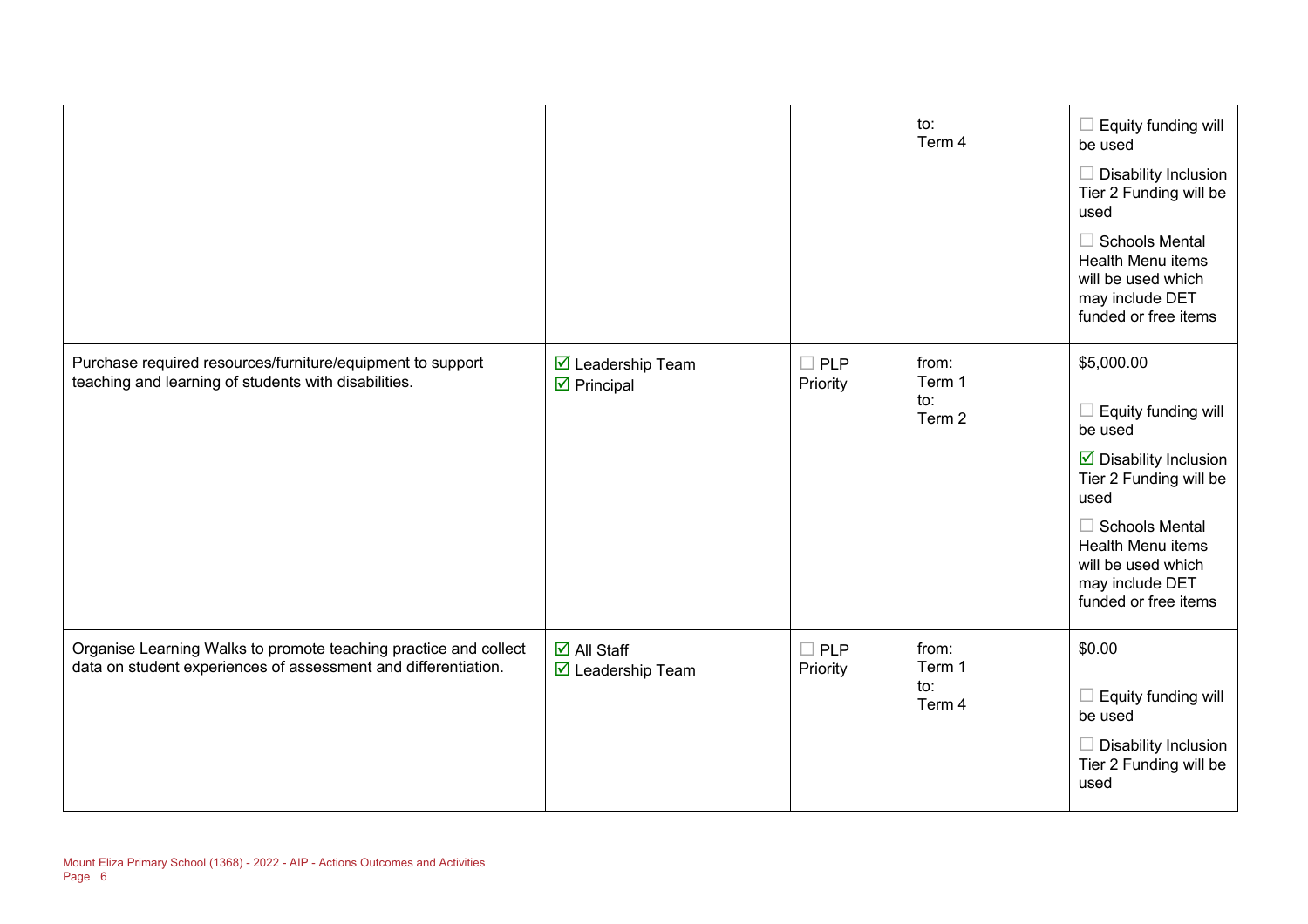|                                                                                                                                    |                                                                      |                        | to:<br>Term 4                    | Equity funding will<br>п<br>be used<br>Disability Inclusion<br>Tier 2 Funding will be<br>used<br>$\Box$ Schools Mental<br>Health Menu items<br>will be used which<br>may include DET<br>funded or free items                           |
|------------------------------------------------------------------------------------------------------------------------------------|----------------------------------------------------------------------|------------------------|----------------------------------|----------------------------------------------------------------------------------------------------------------------------------------------------------------------------------------------------------------------------------------|
| Purchase required resources/furniture/equipment to support<br>teaching and learning of students with disabilities.                 | ☑ Leadership Team<br>$\triangleright$ Principal                      | $\Box$ PLP<br>Priority | from:<br>Term 1<br>to:<br>Term 2 | \$5,000.00<br>Equity funding will<br>be used<br>$\triangleright$ Disability Inclusion<br>Tier 2 Funding will be<br>used<br>$\Box$ Schools Mental<br>Health Menu items<br>will be used which<br>may include DET<br>funded or free items |
| Organise Learning Walks to promote teaching practice and collect<br>data on student experiences of assessment and differentiation. | $\overline{\mathsf{M}}$ All Staff<br>$\triangledown$ Leadership Team | $\Box$ PLP<br>Priority | from:<br>Term 1<br>to:<br>Term 4 | \$0.00<br>$\Box$ Equity funding will<br>be used<br>Disability Inclusion<br>Tier 2 Funding will be<br>used                                                                                                                              |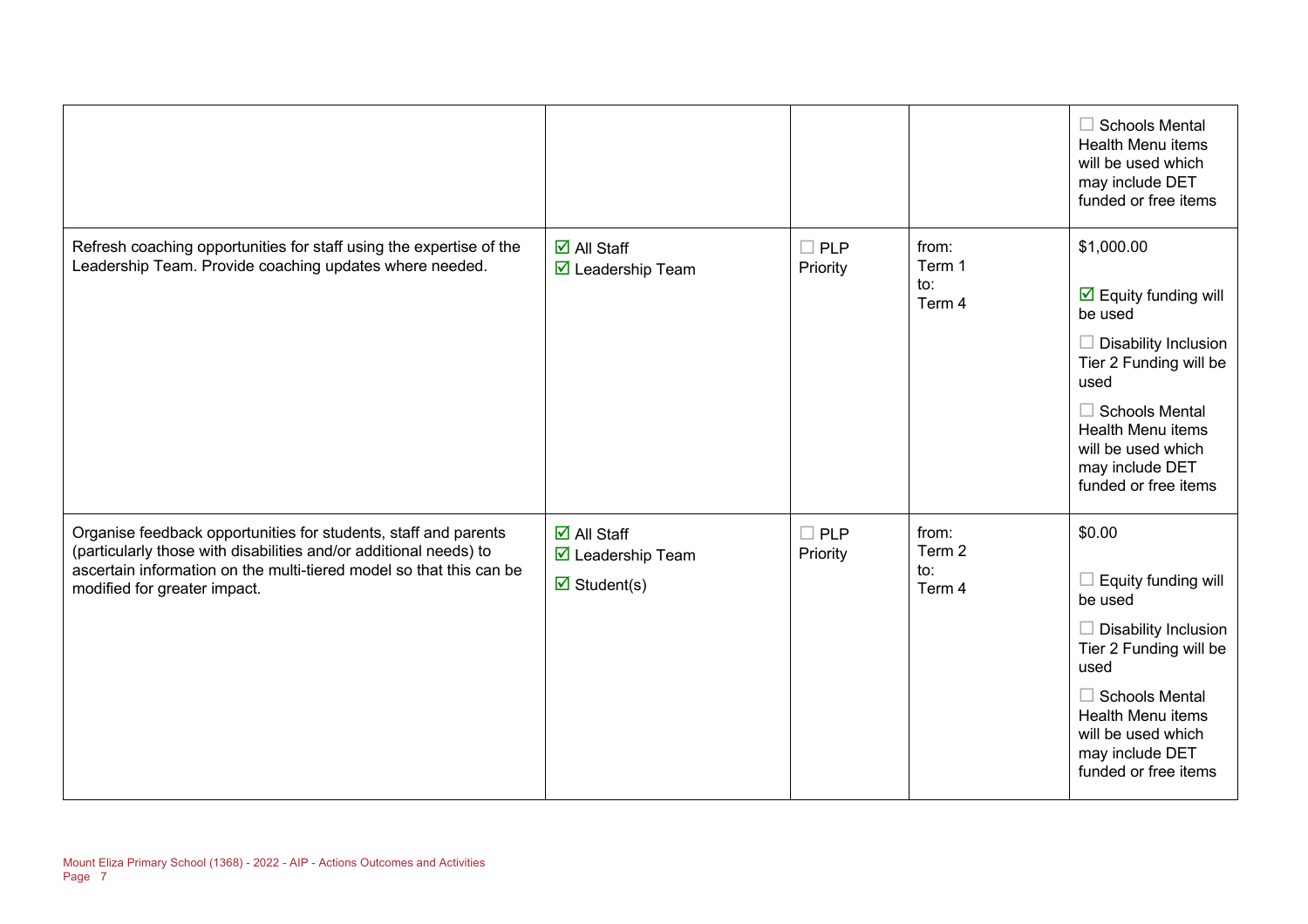|                                                                                                                                                                                                                                             |                                                                                                            |                        |                                  | $\Box$ Schools Mental<br><b>Health Menu items</b><br>will be used which<br>may include DET<br>funded or free items                                                                                                                                          |
|---------------------------------------------------------------------------------------------------------------------------------------------------------------------------------------------------------------------------------------------|------------------------------------------------------------------------------------------------------------|------------------------|----------------------------------|-------------------------------------------------------------------------------------------------------------------------------------------------------------------------------------------------------------------------------------------------------------|
| Refresh coaching opportunities for staff using the expertise of the<br>Leadership Team. Provide coaching updates where needed.                                                                                                              | $\overline{\Box}$ All Staff<br>$\triangleright$ Leadership Team                                            | $\Box$ PLP<br>Priority | from:<br>Term 1<br>to:<br>Term 4 | \$1,000.00<br>$\overline{\mathbf{y}}$ Equity funding will<br>be used<br><b>Disability Inclusion</b><br>Tier 2 Funding will be<br>used<br>$\Box$ Schools Mental<br><b>Health Menu items</b><br>will be used which<br>may include DET<br>funded or free items |
| Organise feedback opportunities for students, staff and parents<br>(particularly those with disabilities and/or additional needs) to<br>ascertain information on the multi-tiered model so that this can be<br>modified for greater impact. | $\overline{\mathsf{d}}$ All Staff<br>$\triangledown$ Leadership Team<br>$\overline{\mathbf{z}}$ Student(s) | $\Box$ PLP<br>Priority | from:<br>Term 2<br>to:<br>Term 4 | \$0.00<br>Equity funding will<br>be used<br><b>Disability Inclusion</b><br>Tier 2 Funding will be<br>used<br>$\Box$ Schools Mental<br><b>Health Menu items</b><br>will be used which<br>may include DET<br>funded or free items                             |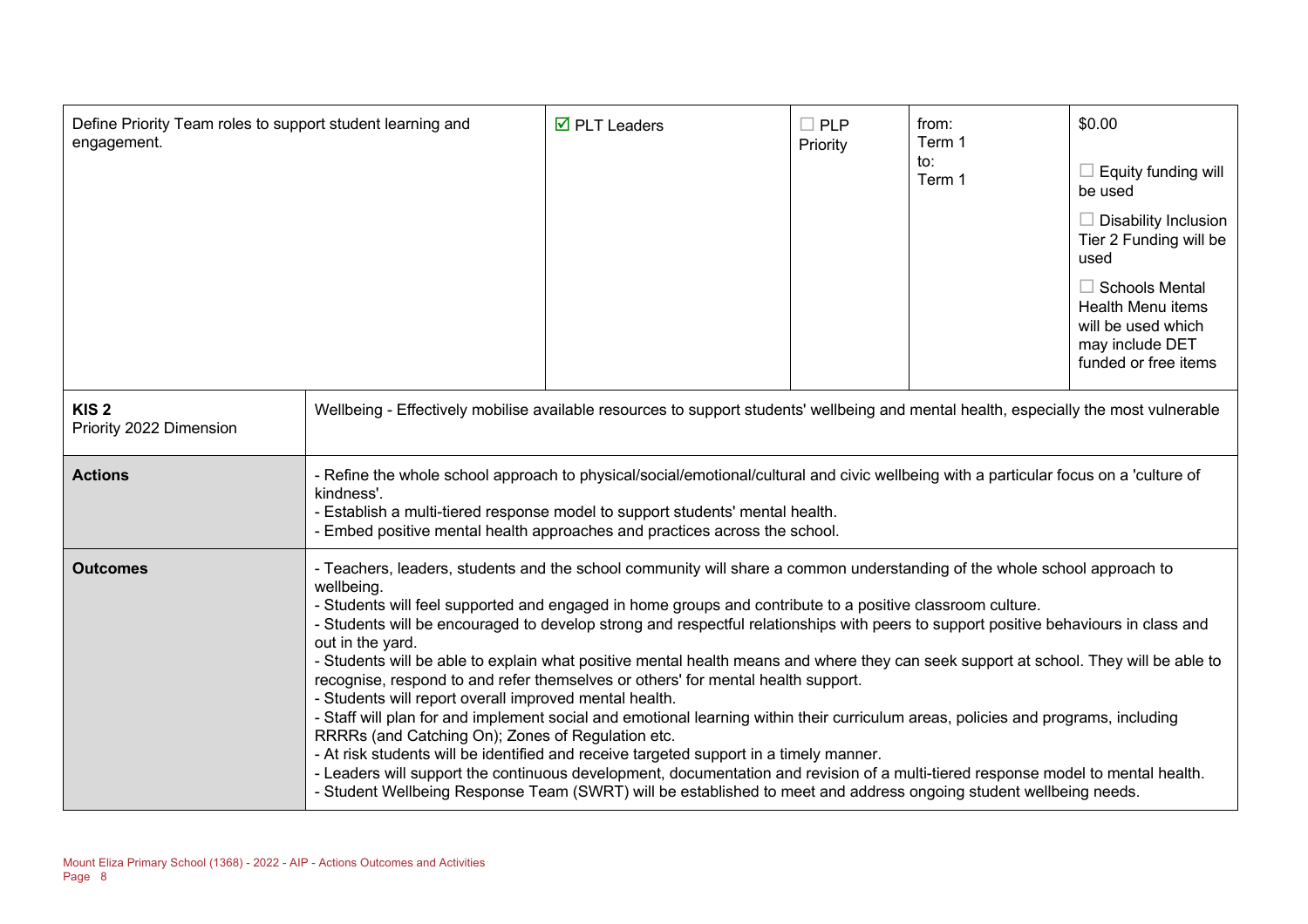| Define Priority Team roles to support student learning and<br>engagement. |                                                                                                                                                                                                                                                                                                                                                                                                                                                                                                                                                                                                                                                                                                                                                                                                                                                                                                                                                                                                                                                                                                                                                                                                                                                   | $\overline{\mathbf{M}}$ PLT Leaders | $\Box$ PLP<br>Priority | from:<br>Term 1<br>to:<br>Term 1 | \$0.00<br>$\Box$ Equity funding will<br>be used<br>$\Box$ Disability Inclusion<br>Tier 2 Funding will be<br>used<br>$\Box$ Schools Mental<br><b>Health Menu items</b><br>will be used which<br>may include DET<br>funded or free items |
|---------------------------------------------------------------------------|---------------------------------------------------------------------------------------------------------------------------------------------------------------------------------------------------------------------------------------------------------------------------------------------------------------------------------------------------------------------------------------------------------------------------------------------------------------------------------------------------------------------------------------------------------------------------------------------------------------------------------------------------------------------------------------------------------------------------------------------------------------------------------------------------------------------------------------------------------------------------------------------------------------------------------------------------------------------------------------------------------------------------------------------------------------------------------------------------------------------------------------------------------------------------------------------------------------------------------------------------|-------------------------------------|------------------------|----------------------------------|----------------------------------------------------------------------------------------------------------------------------------------------------------------------------------------------------------------------------------------|
| KIS <sub>2</sub><br>Priority 2022 Dimension                               | Wellbeing - Effectively mobilise available resources to support students' wellbeing and mental health, especially the most vulnerable                                                                                                                                                                                                                                                                                                                                                                                                                                                                                                                                                                                                                                                                                                                                                                                                                                                                                                                                                                                                                                                                                                             |                                     |                        |                                  |                                                                                                                                                                                                                                        |
| <b>Actions</b>                                                            | - Refine the whole school approach to physical/social/emotional/cultural and civic wellbeing with a particular focus on a 'culture of<br>kindness'.<br>- Establish a multi-tiered response model to support students' mental health.<br>Embed positive mental health approaches and practices across the school.                                                                                                                                                                                                                                                                                                                                                                                                                                                                                                                                                                                                                                                                                                                                                                                                                                                                                                                                  |                                     |                        |                                  |                                                                                                                                                                                                                                        |
| <b>Outcomes</b>                                                           | - Teachers, leaders, students and the school community will share a common understanding of the whole school approach to<br>wellbeing.<br>- Students will feel supported and engaged in home groups and contribute to a positive classroom culture.<br>- Students will be encouraged to develop strong and respectful relationships with peers to support positive behaviours in class and<br>out in the yard.<br>- Students will be able to explain what positive mental health means and where they can seek support at school. They will be able to<br>recognise, respond to and refer themselves or others' for mental health support.<br>- Students will report overall improved mental health.<br>- Staff will plan for and implement social and emotional learning within their curriculum areas, policies and programs, including<br>RRRRs (and Catching On); Zones of Regulation etc.<br>- At risk students will be identified and receive targeted support in a timely manner.<br>- Leaders will support the continuous development, documentation and revision of a multi-tiered response model to mental health.<br>- Student Wellbeing Response Team (SWRT) will be established to meet and address ongoing student wellbeing needs. |                                     |                        |                                  |                                                                                                                                                                                                                                        |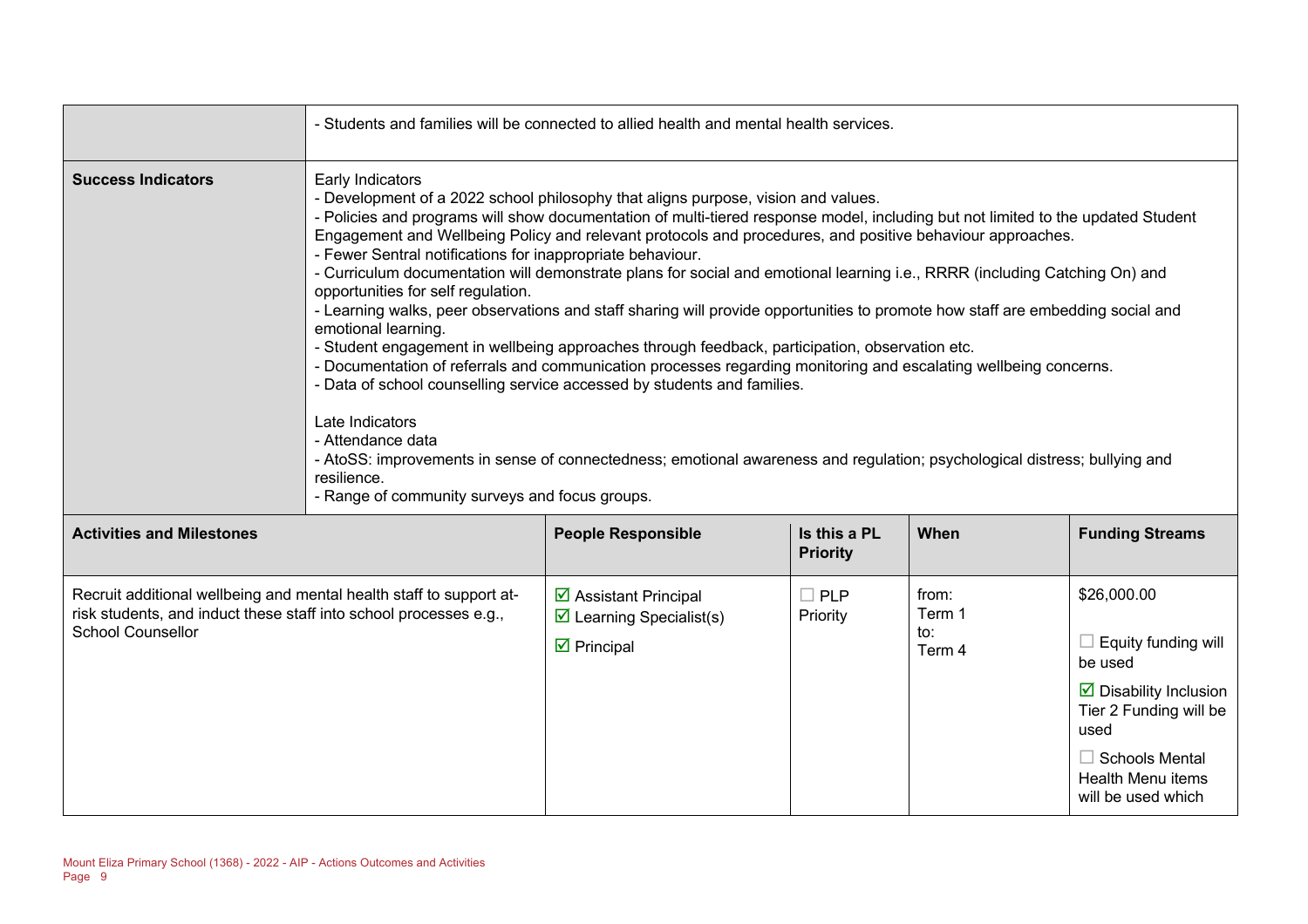|                                                                                                                                                                      | - Students and families will be connected to allied health and mental health services.                                                                                                                                                                                                                                                                                                                                                                                                                                                                                                                                                                                                                                                                                                                                                                                                                                                                                                                                                                                                                                                                                                                                                                                                   |                                                                                                               |                                 |                                  |                                                                                                                                                                                                                   |
|----------------------------------------------------------------------------------------------------------------------------------------------------------------------|------------------------------------------------------------------------------------------------------------------------------------------------------------------------------------------------------------------------------------------------------------------------------------------------------------------------------------------------------------------------------------------------------------------------------------------------------------------------------------------------------------------------------------------------------------------------------------------------------------------------------------------------------------------------------------------------------------------------------------------------------------------------------------------------------------------------------------------------------------------------------------------------------------------------------------------------------------------------------------------------------------------------------------------------------------------------------------------------------------------------------------------------------------------------------------------------------------------------------------------------------------------------------------------|---------------------------------------------------------------------------------------------------------------|---------------------------------|----------------------------------|-------------------------------------------------------------------------------------------------------------------------------------------------------------------------------------------------------------------|
| <b>Success Indicators</b>                                                                                                                                            | Early Indicators<br>- Development of a 2022 school philosophy that aligns purpose, vision and values.<br>- Policies and programs will show documentation of multi-tiered response model, including but not limited to the updated Student<br>Engagement and Wellbeing Policy and relevant protocols and procedures, and positive behaviour approaches.<br>- Fewer Sentral notifications for inappropriate behaviour.<br>- Curriculum documentation will demonstrate plans for social and emotional learning i.e., RRRR (including Catching On) and<br>opportunities for self regulation.<br>- Learning walks, peer observations and staff sharing will provide opportunities to promote how staff are embedding social and<br>emotional learning.<br>- Student engagement in wellbeing approaches through feedback, participation, observation etc.<br>- Documentation of referrals and communication processes regarding monitoring and escalating wellbeing concerns.<br>- Data of school counselling service accessed by students and families.<br>Late Indicators<br>- Attendance data<br>- AtoSS: improvements in sense of connectedness; emotional awareness and regulation; psychological distress; bullying and<br>resilience.<br>- Range of community surveys and focus groups. |                                                                                                               |                                 |                                  |                                                                                                                                                                                                                   |
| <b>Activities and Milestones</b>                                                                                                                                     |                                                                                                                                                                                                                                                                                                                                                                                                                                                                                                                                                                                                                                                                                                                                                                                                                                                                                                                                                                                                                                                                                                                                                                                                                                                                                          | <b>People Responsible</b>                                                                                     | Is this a PL<br><b>Priority</b> | When                             | <b>Funding Streams</b>                                                                                                                                                                                            |
| Recruit additional wellbeing and mental health staff to support at-<br>risk students, and induct these staff into school processes e.g.,<br><b>School Counsellor</b> |                                                                                                                                                                                                                                                                                                                                                                                                                                                                                                                                                                                                                                                                                                                                                                                                                                                                                                                                                                                                                                                                                                                                                                                                                                                                                          | $\triangleright$ Assistant Principal<br>$\triangleright$ Learning Specialist(s)<br>$\triangleright$ Principal | $\Box$ PLP<br>Priority          | from:<br>Term 1<br>to:<br>Term 4 | \$26,000.00<br>$\Box$ Equity funding will<br>be used<br>$\overline{\mathbf{2}}$ Disability Inclusion<br>Tier 2 Funding will be<br>used<br>$\Box$ Schools Mental<br><b>Health Menu items</b><br>will be used which |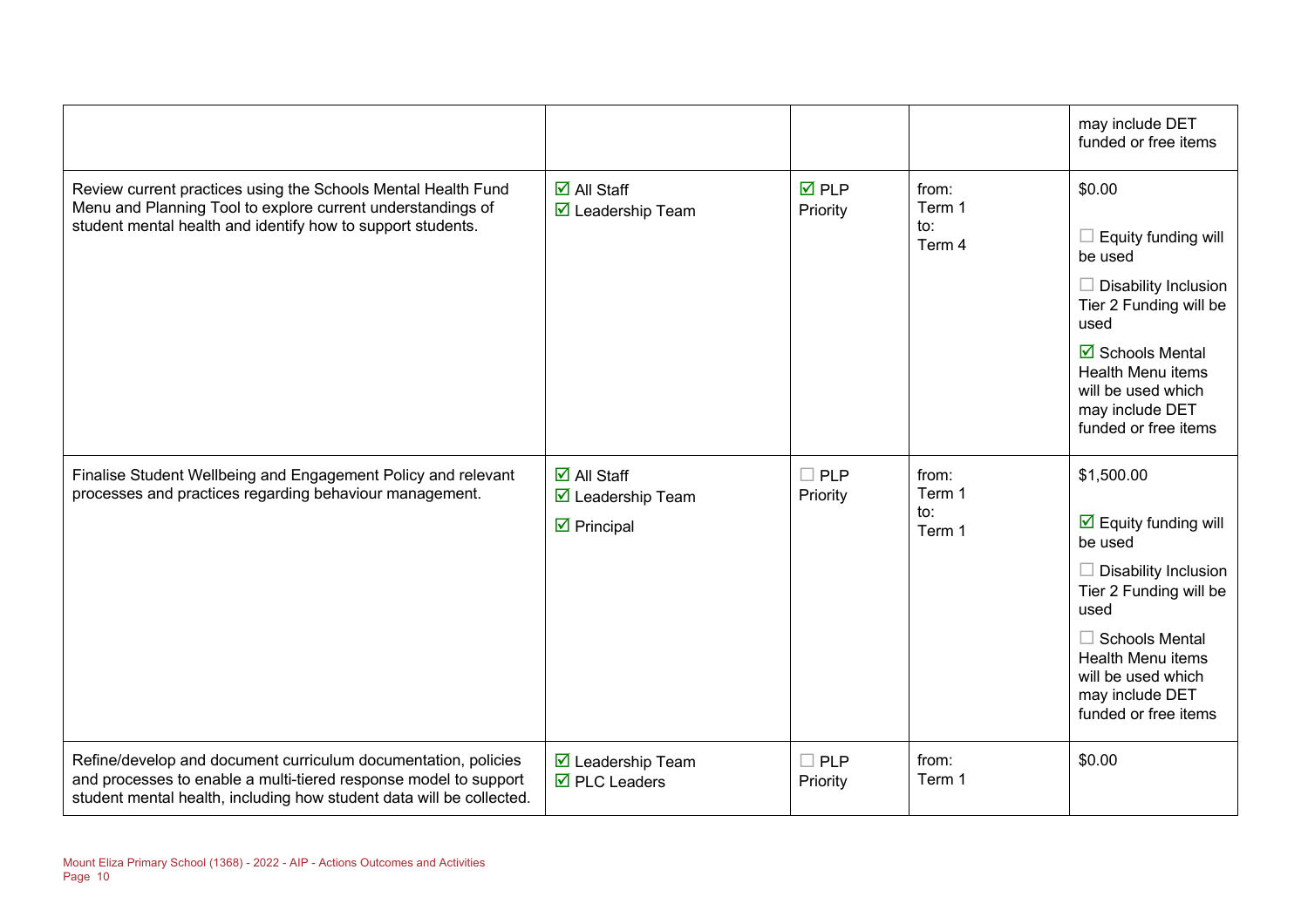|                                                                                                                                                                                                            |                                                                                                      |                                |                                  | may include DET<br>funded or free items                                                                                                                                                                                                                |
|------------------------------------------------------------------------------------------------------------------------------------------------------------------------------------------------------------|------------------------------------------------------------------------------------------------------|--------------------------------|----------------------------------|--------------------------------------------------------------------------------------------------------------------------------------------------------------------------------------------------------------------------------------------------------|
| Review current practices using the Schools Mental Health Fund<br>Menu and Planning Tool to explore current understandings of<br>student mental health and identify how to support students.                | $\overline{\Box}$ All Staff<br>☑ Leadership Team                                                     | $\overline{M}$ PLP<br>Priority | from:<br>Term 1<br>to:<br>Term 4 | \$0.00<br>$\Box$ Equity funding will<br>be used<br>$\Box$ Disability Inclusion<br>Tier 2 Funding will be<br>used<br>$\overline{\boxtimes}$ Schools Mental<br><b>Health Menu items</b><br>will be used which<br>may include DET<br>funded or free items |
| Finalise Student Wellbeing and Engagement Policy and relevant<br>processes and practices regarding behaviour management.                                                                                   | $\overline{\Box}$ All Staff<br>$\overline{\mathbf{M}}$ Leadership Team<br>$\triangleright$ Principal | $\Box$ PLP<br>Priority         | from:<br>Term 1<br>to:<br>Term 1 | \$1,500.00<br>$\overline{\mathbf{M}}$ Equity funding will<br>be used<br>$\Box$ Disability Inclusion<br>Tier 2 Funding will be<br>used<br>$\Box$ Schools Mental<br>Health Menu items<br>will be used which<br>may include DET<br>funded or free items   |
| Refine/develop and document curriculum documentation, policies<br>and processes to enable a multi-tiered response model to support<br>student mental health, including how student data will be collected. | ☑ Leadership Team<br>$\overline{\boxtimes}$ PLC Leaders                                              | $\Box$ PLP<br>Priority         | from:<br>Term 1                  | \$0.00                                                                                                                                                                                                                                                 |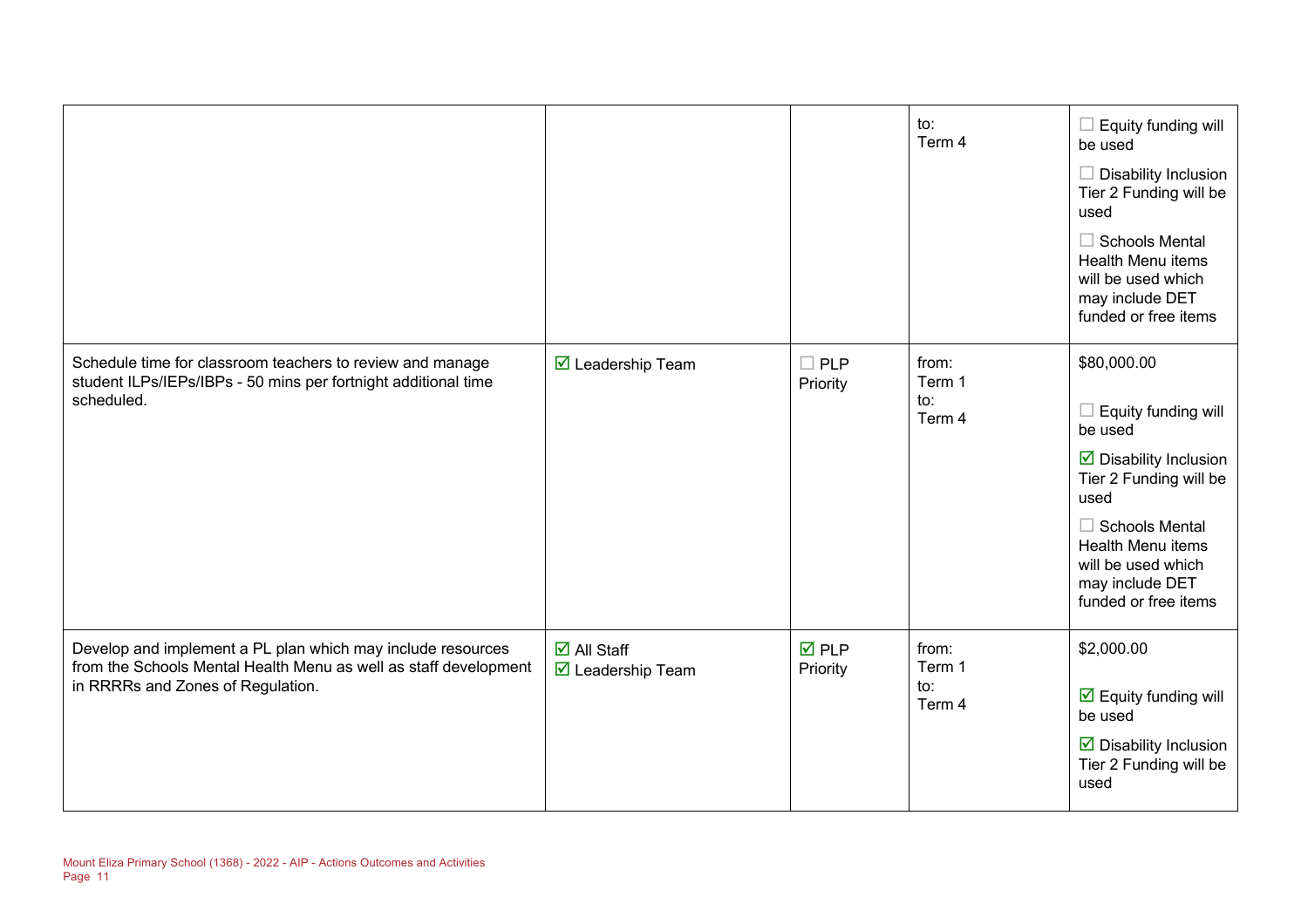|                                                                                                                                                                      |                                                                |                                | to:<br>Term 4                    | Equity funding will<br>be used<br>Disability Inclusion<br>Tier 2 Funding will be<br>used<br>$\Box$ Schools Mental<br>Health Menu items<br>will be used which<br>may include DET<br>funded or free items                            |
|----------------------------------------------------------------------------------------------------------------------------------------------------------------------|----------------------------------------------------------------|--------------------------------|----------------------------------|------------------------------------------------------------------------------------------------------------------------------------------------------------------------------------------------------------------------------------|
| Schedule time for classroom teachers to review and manage<br>student ILPs/IEPs/IBPs - 50 mins per fortnight additional time<br>scheduled.                            | $\overline{\mathbf{M}}$ Leadership Team                        | <b>PLP</b><br>Priority         | from:<br>Term 1<br>to:<br>Term 4 | \$80,000.00<br>Equity funding will<br>be used<br>$\boxtimes$ Disability Inclusion<br>Tier 2 Funding will be<br>used<br>$\Box$ Schools Mental<br>Health Menu items<br>will be used which<br>may include DET<br>funded or free items |
| Develop and implement a PL plan which may include resources<br>from the Schools Mental Health Menu as well as staff development<br>in RRRRs and Zones of Regulation. | $\overline{\Box}$ All Staff<br>$\triangledown$ Leadership Team | $\overline{M}$ PLP<br>Priority | from:<br>Term 1<br>to:<br>Term 4 | \$2,000.00<br>$\overline{\mathbf{y}}$ Equity funding will<br>be used<br>$\triangleright$ Disability Inclusion<br>Tier 2 Funding will be<br>used                                                                                    |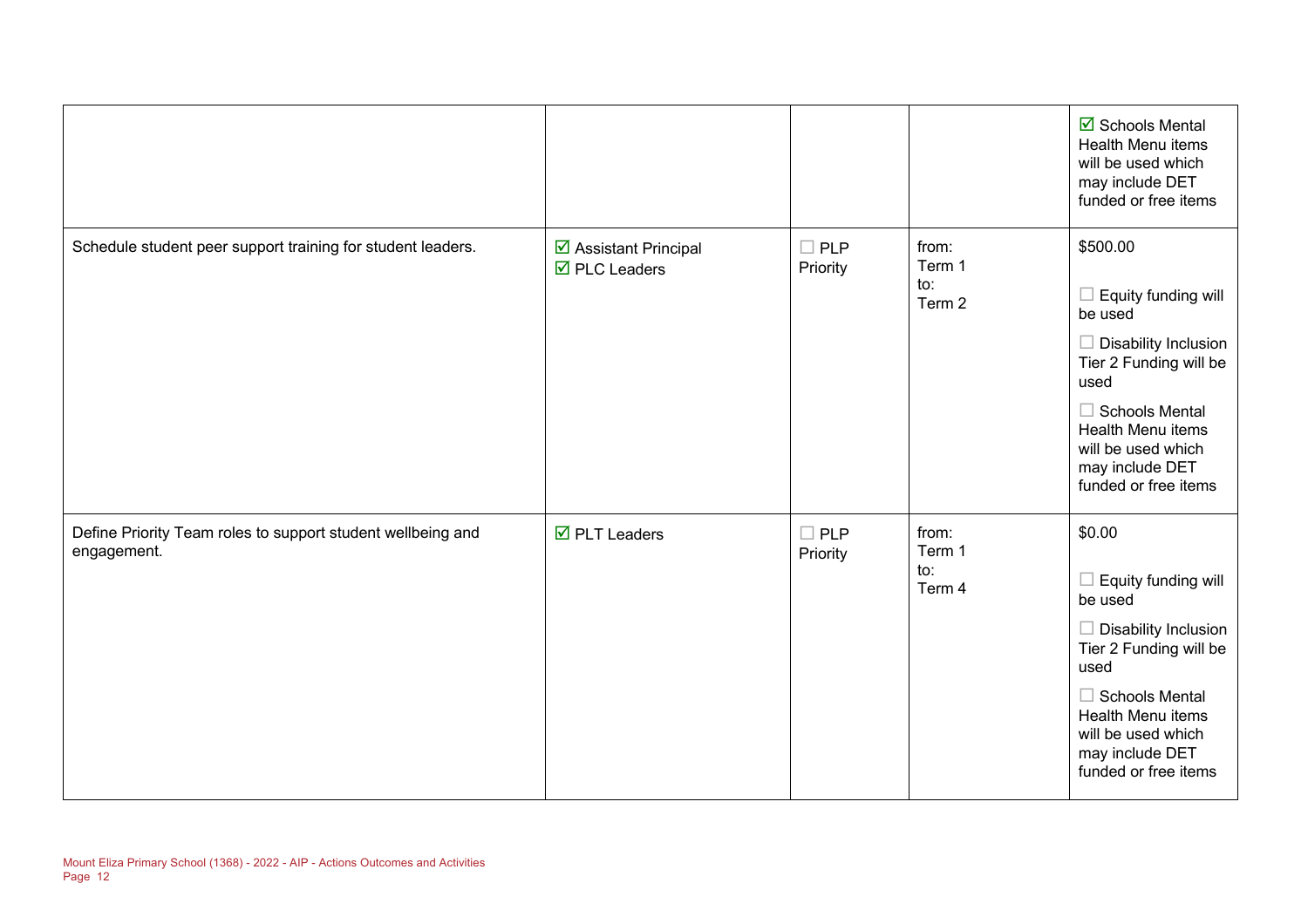|                                                                            |                                                             |                        |                                  | $\boxtimes$ Schools Mental<br>Health Menu items<br>will be used which<br>may include DET<br>funded or free items                                                                                                                |
|----------------------------------------------------------------------------|-------------------------------------------------------------|------------------------|----------------------------------|---------------------------------------------------------------------------------------------------------------------------------------------------------------------------------------------------------------------------------|
| Schedule student peer support training for student leaders.                | ☑ Assistant Principal<br>$\overline{\boxtimes}$ PLC Leaders | $\Box$ PLP<br>Priority | from:<br>Term 1<br>to:<br>Term 2 | \$500.00<br>Equity funding will<br>be used<br>$\Box$ Disability Inclusion<br>Tier 2 Funding will be<br>used<br>$\Box$ Schools Mental<br>Health Menu items<br>will be used which<br>may include DET<br>funded or free items      |
| Define Priority Team roles to support student wellbeing and<br>engagement. | $\overline{\mathbf{M}}$ PLT Leaders                         | $\Box$ PLP<br>Priority | from:<br>Term 1<br>to:<br>Term 4 | \$0.00<br>Equity funding will<br>- 1<br>be used<br><b>Disability Inclusion</b><br>Tier 2 Funding will be<br>used<br>$\Box$ Schools Mental<br>Health Menu items<br>will be used which<br>may include DET<br>funded or free items |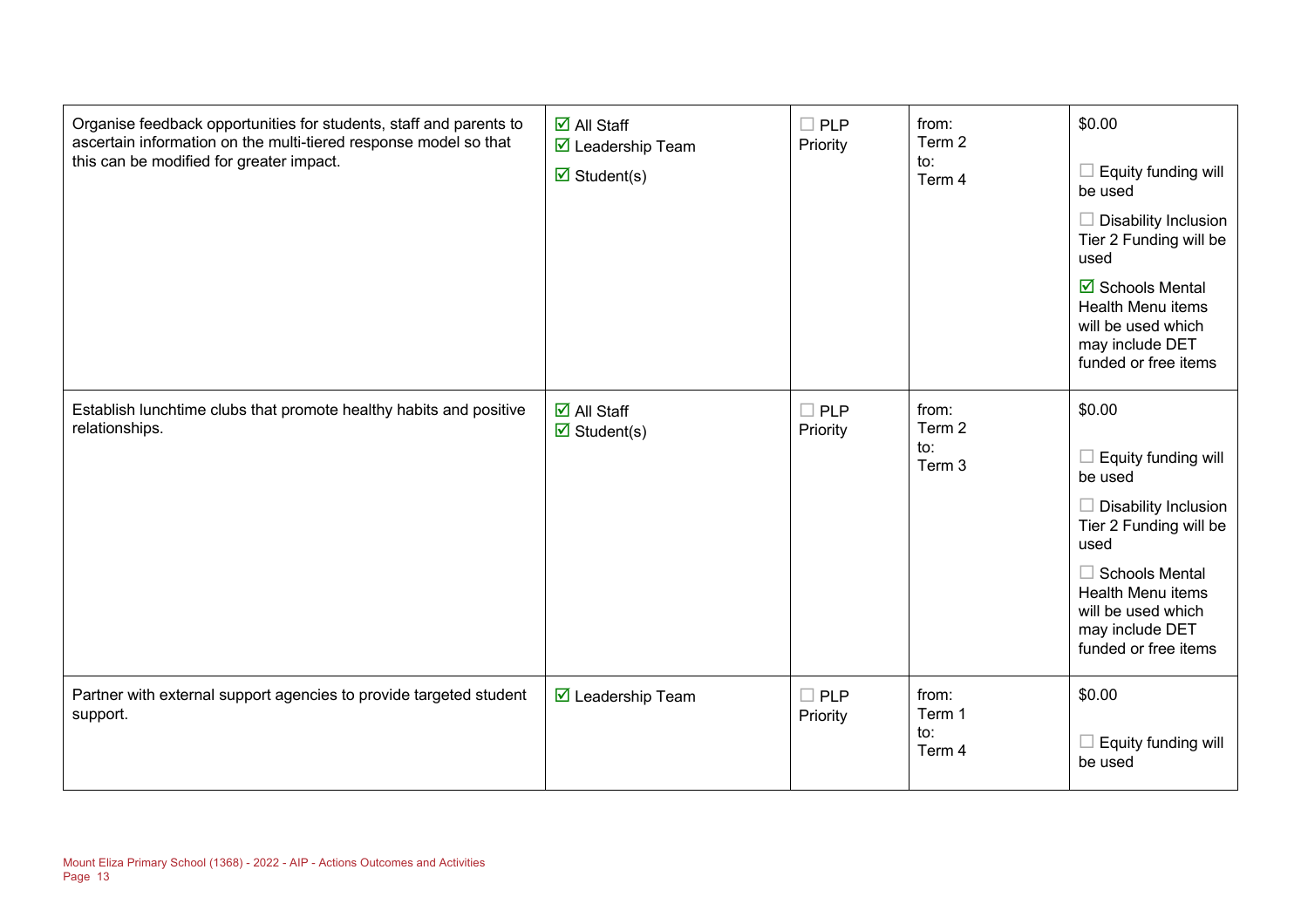| Organise feedback opportunities for students, staff and parents to<br>ascertain information on the multi-tiered response model so that<br>this can be modified for greater impact. | $\boxdot$ All Staff<br>$\triangledown$ Leadership Team<br>$\triangledown$ Student(s) | $\Box$ PLP<br>Priority    | from:<br>Term 2<br>to:<br>Term 4 | \$0.00<br>$\Box$ Equity funding will<br>be used<br>$\Box$ Disability Inclusion<br>Tier 2 Funding will be<br>used<br>☑ Schools Mental<br>Health Menu items<br>will be used which<br>may include DET<br>funded or free items |
|------------------------------------------------------------------------------------------------------------------------------------------------------------------------------------|--------------------------------------------------------------------------------------|---------------------------|----------------------------------|----------------------------------------------------------------------------------------------------------------------------------------------------------------------------------------------------------------------------|
| Establish lunchtime clubs that promote healthy habits and positive<br>relationships.                                                                                               | $\overline{\mathsf{M}}$ All Staff<br>$\boxtimes$ Student(s)                          | $\square$ PLP<br>Priority | from:<br>Term 2<br>to:<br>Term 3 | \$0.00<br>Equity funding will<br>be used<br>$\Box$ Disability Inclusion<br>Tier 2 Funding will be<br>used<br>$\Box$ Schools Mental<br>Health Menu items<br>will be used which<br>may include DET<br>funded or free items   |
| Partner with external support agencies to provide targeted student<br>support.                                                                                                     | $\overline{\mathbf{M}}$ Leadership Team                                              | $\Box$ PLP<br>Priority    | from:<br>Term 1<br>to:<br>Term 4 | \$0.00<br>Equity funding will<br>be used                                                                                                                                                                                   |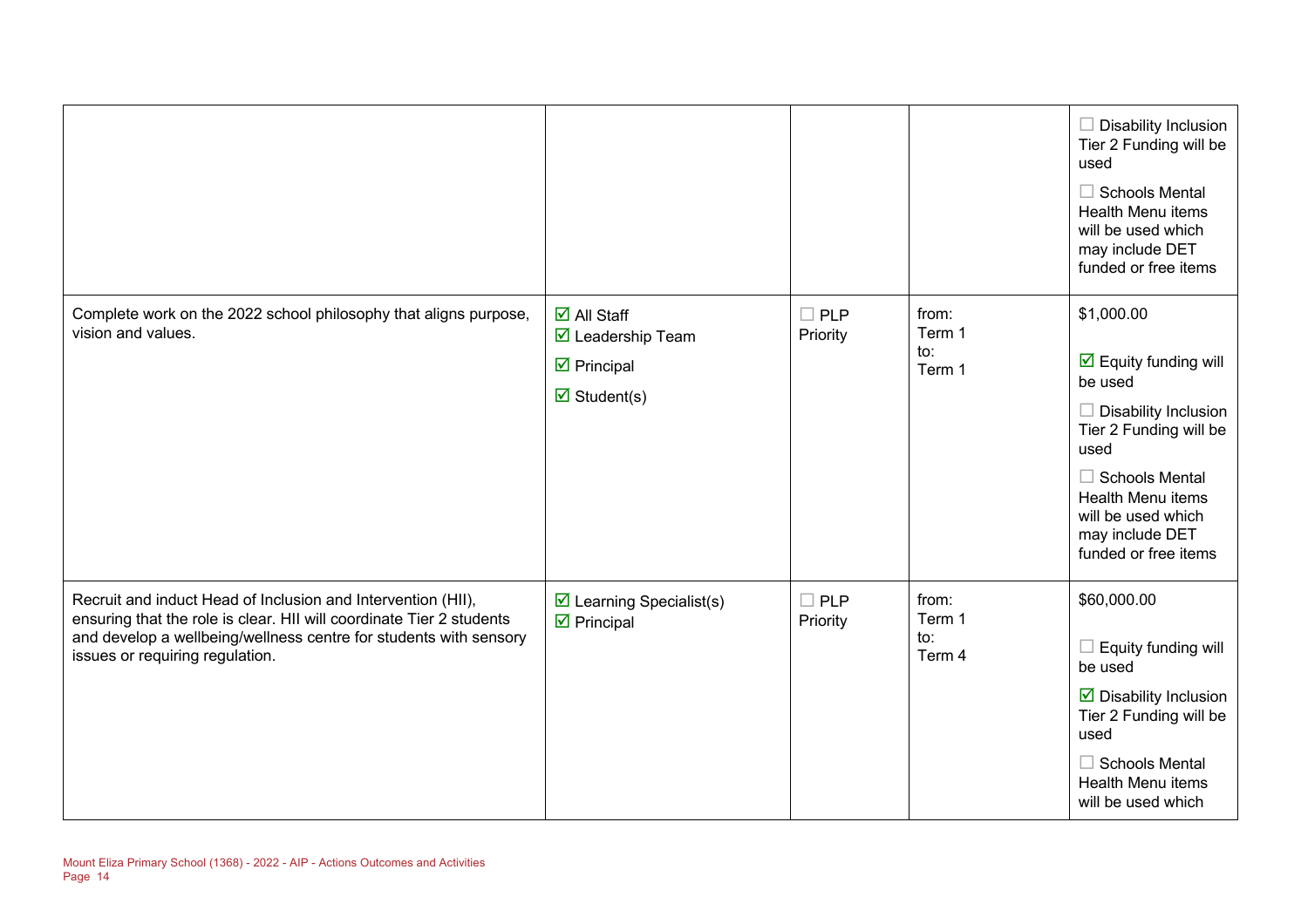|                                                                                                                                                                                                                                              |                                                                                                                                                    |                        |                                  | $\Box$ Disability Inclusion<br>Tier 2 Funding will be<br>used<br>$\Box$ Schools Mental<br><b>Health Menu items</b><br>will be used which<br>may include DET<br>funded or free items                                                                         |
|----------------------------------------------------------------------------------------------------------------------------------------------------------------------------------------------------------------------------------------------|----------------------------------------------------------------------------------------------------------------------------------------------------|------------------------|----------------------------------|-------------------------------------------------------------------------------------------------------------------------------------------------------------------------------------------------------------------------------------------------------------|
| Complete work on the 2022 school philosophy that aligns purpose,<br>vision and values.                                                                                                                                                       | $\overline{\blacksquare}$ All Staff<br>$\overline{\mathbf{M}}$ Leadership Team<br>$\triangleright$ Principal<br>$\overline{\mathbf{M}}$ Student(s) | $\Box$ PLP<br>Priority | from:<br>Term 1<br>to:<br>Term 1 | \$1,000.00<br>$\overline{\mathbf{M}}$ Equity funding will<br>be used<br>$\Box$ Disability Inclusion<br>Tier 2 Funding will be<br>used<br>$\Box$ Schools Mental<br><b>Health Menu items</b><br>will be used which<br>may include DET<br>funded or free items |
| Recruit and induct Head of Inclusion and Intervention (HII),<br>ensuring that the role is clear. HII will coordinate Tier 2 students<br>and develop a wellbeing/wellness centre for students with sensory<br>issues or requiring regulation. | $\boxtimes$ Learning Specialist(s)<br>$\triangleright$ Principal                                                                                   | $\Box$ PLP<br>Priority | from:<br>Term 1<br>to:<br>Term 4 | \$60,000.00<br>$\Box$ Equity funding will<br>be used<br>$\triangleright$ Disability Inclusion<br>Tier 2 Funding will be<br>used<br>$\Box$ Schools Mental<br><b>Health Menu items</b><br>will be used which                                                  |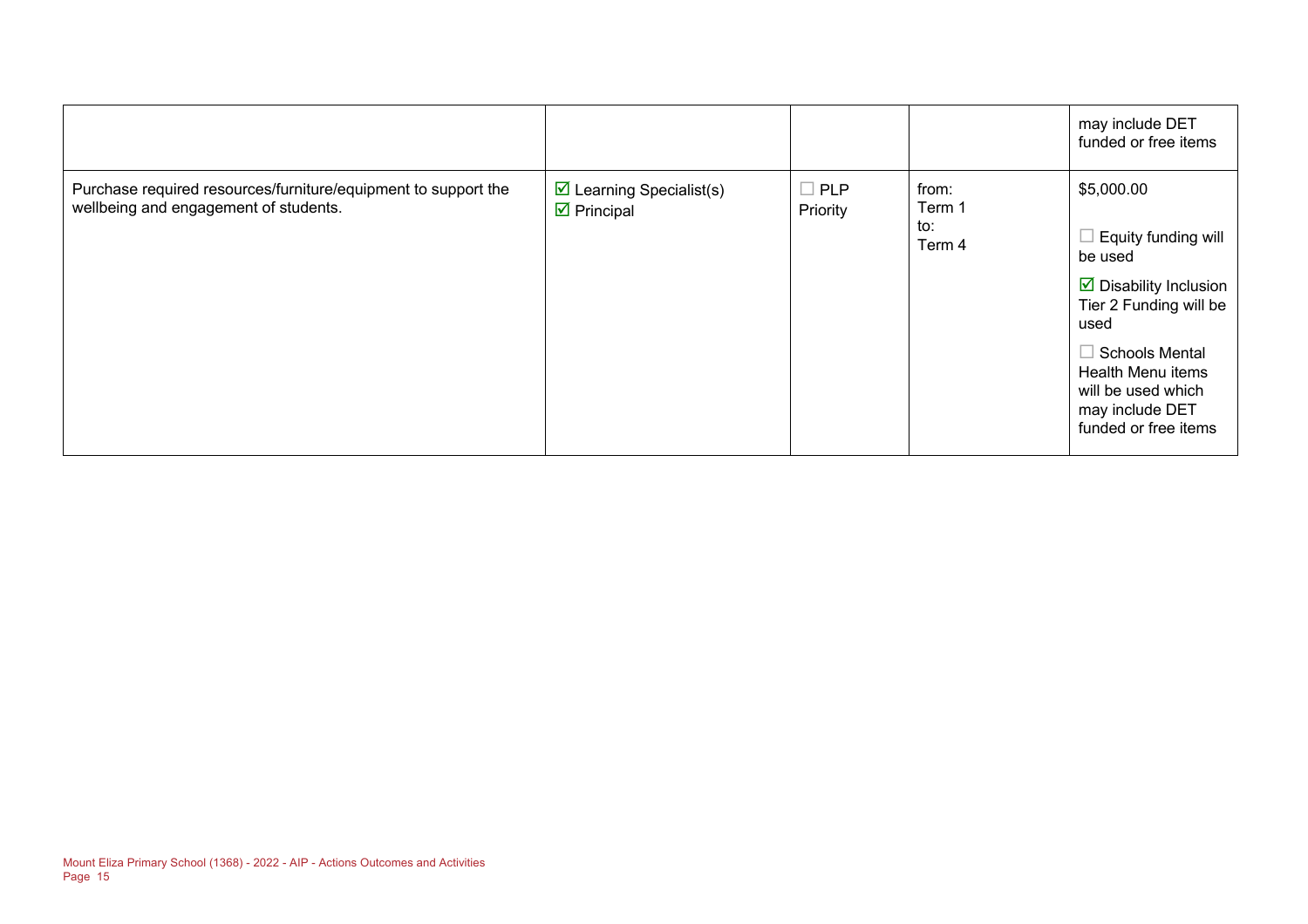|                                                                                                         |                                                                  |                        |                                  | may include DET<br>funded or free items                                                                                                                                                                                                |
|---------------------------------------------------------------------------------------------------------|------------------------------------------------------------------|------------------------|----------------------------------|----------------------------------------------------------------------------------------------------------------------------------------------------------------------------------------------------------------------------------------|
| Purchase required resources/furniture/equipment to support the<br>wellbeing and engagement of students. | $\triangleright$ Learning Specialist(s)<br>$\boxtimes$ Principal | $\Box$ PLP<br>Priority | from:<br>Term 1<br>to:<br>Term 4 | \$5,000.00<br>Equity funding will<br>be used<br>$\triangleright$ Disability Inclusion<br>Tier 2 Funding will be<br>used<br>$\Box$ Schools Mental<br>Health Menu items<br>will be used which<br>may include DET<br>funded or free items |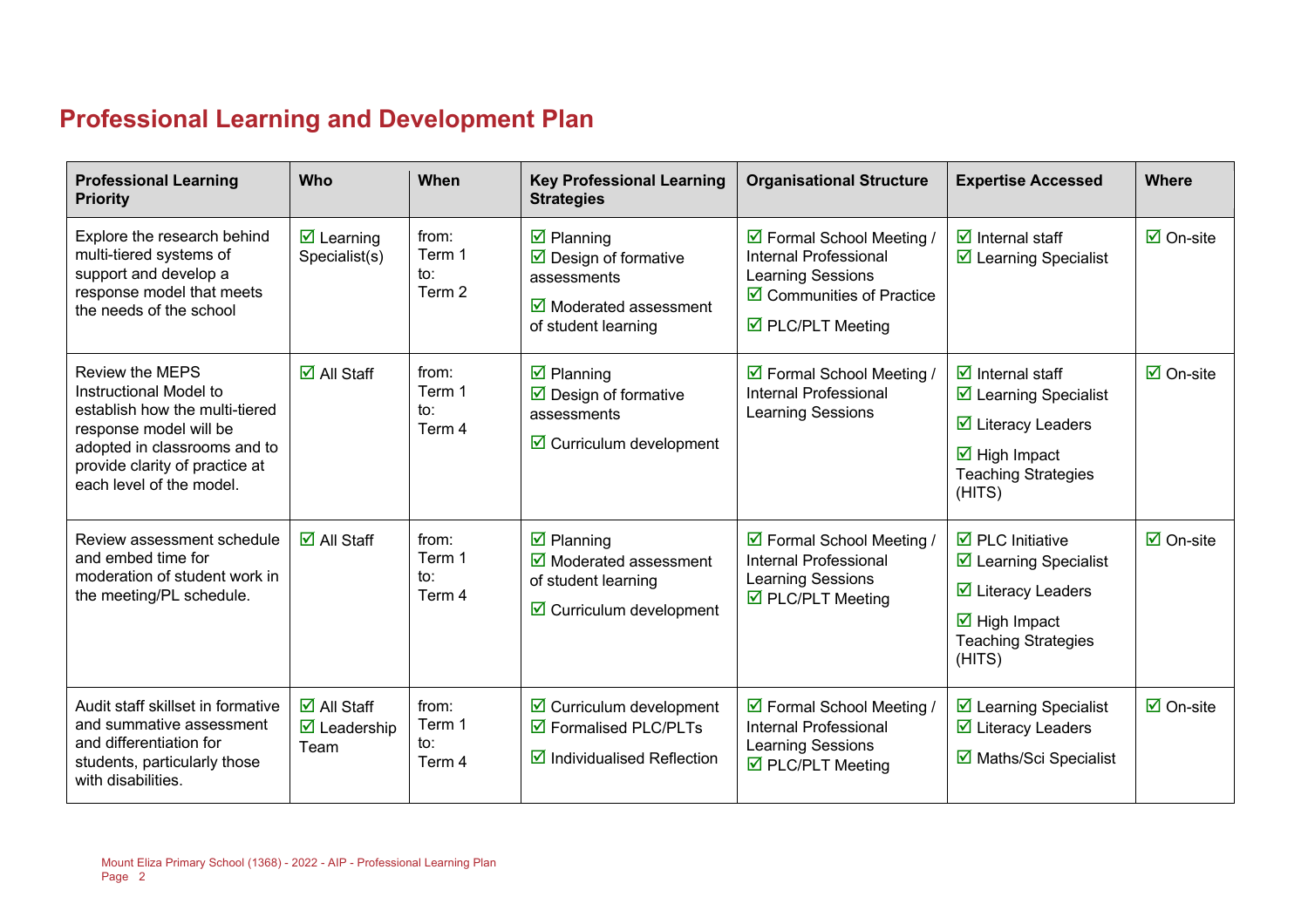# **Professional Learning and Development Plan**

| <b>Professional Learning</b><br><b>Priority</b>                                                                                                                                                            | Who                                                                             | When                             | <b>Key Professional Learning</b><br><b>Strategies</b>                                                                                                          | <b>Organisational Structure</b>                                                                                                                                 | <b>Expertise Accessed</b>                                                                                                                                                                            | <b>Where</b>                    |
|------------------------------------------------------------------------------------------------------------------------------------------------------------------------------------------------------------|---------------------------------------------------------------------------------|----------------------------------|----------------------------------------------------------------------------------------------------------------------------------------------------------------|-----------------------------------------------------------------------------------------------------------------------------------------------------------------|------------------------------------------------------------------------------------------------------------------------------------------------------------------------------------------------------|---------------------------------|
| Explore the research behind<br>multi-tiered systems of<br>support and develop a<br>response model that meets<br>the needs of the school                                                                    | $\overline{\mathbf{M}}$ Learning<br>Specialist(s)                               | from:<br>Term 1<br>to:<br>Term 2 | $\overline{\mathbf{z}}$ Planning<br>$\triangleright$ Design of formative<br>assessments<br>$\overline{\mathbf{y}}$ Moderated assessment<br>of student learning | ☑ Formal School Meeting /<br><b>Internal Professional</b><br><b>Learning Sessions</b><br>$\boxtimes$ Communities of Practice<br>$\triangledown$ PLC/PLT Meeting | $\overline{\mathbf{z}}$ Internal staff<br>$\triangleright$ Learning Specialist                                                                                                                       | $\boxtimes$ On-site             |
| <b>Review the MEPS</b><br>Instructional Model to<br>establish how the multi-tiered<br>response model will be<br>adopted in classrooms and to<br>provide clarity of practice at<br>each level of the model. | $\overline{\Box}$ All Staff                                                     | from:<br>Term 1<br>to:<br>Term 4 | $\boxtimes$ Planning<br>$\triangleright$ Design of formative<br>assessments<br>$\triangleright$ Curriculum development                                         | ☑ Formal School Meeting /<br><b>Internal Professional</b><br><b>Learning Sessions</b>                                                                           | $\overline{\mathsf{M}}$ Internal staff<br>$\boxtimes$ Learning Specialist<br>$\overline{\mathbf{y}}$ Literacy Leaders<br>$\overline{\mathbf{M}}$ High Impact<br><b>Teaching Strategies</b><br>(HITS) | $\overline{\Box}$ On-site       |
| Review assessment schedule<br>and embed time for<br>moderation of student work in<br>the meeting/PL schedule.                                                                                              | $\overline{\blacksquare}$ All Staff                                             | from:<br>Term 1<br>to:<br>Term 4 | $\overline{\mathbf{z}}$ Planning<br>$\boxtimes$ Moderated assessment<br>of student learning<br>$\triangleright$ Curriculum development                         | ☑ Formal School Meeting /<br><b>Internal Professional</b><br><b>Learning Sessions</b><br>☑ PLC/PLT Meeting                                                      | $\overline{\boxtimes}$ PLC Initiative<br>☑ Learning Specialist<br>$\overline{\mathbf{M}}$ Literacy Leaders<br>$\overline{\mathbf{M}}$ High Impact<br><b>Teaching Strategies</b><br>(HITS)            | $\overline{\Box}$ On-site       |
| Audit staff skillset in formative<br>and summative assessment<br>and differentiation for<br>students, particularly those<br>with disabilities.                                                             | $\overline{\mathsf{M}}$ All Staff<br>$\overline{\mathbf{M}}$ Leadership<br>Team | from:<br>Term 1<br>to:<br>Term 4 | $\triangleright$ Curriculum development<br>☑ Formalised PLC/PLTs<br>$\boxtimes$ Individualised Reflection                                                      | ☑ Formal School Meeting /<br><b>Internal Professional</b><br><b>Learning Sessions</b><br>☑ PLC/PLT Meeting                                                      | $\overline{\mathbf{M}}$ Learning Specialist<br>$\triangleright$ Literacy Leaders<br>☑ Maths/Sci Specialist                                                                                           | $\overline{\mathsf{M}}$ On-site |